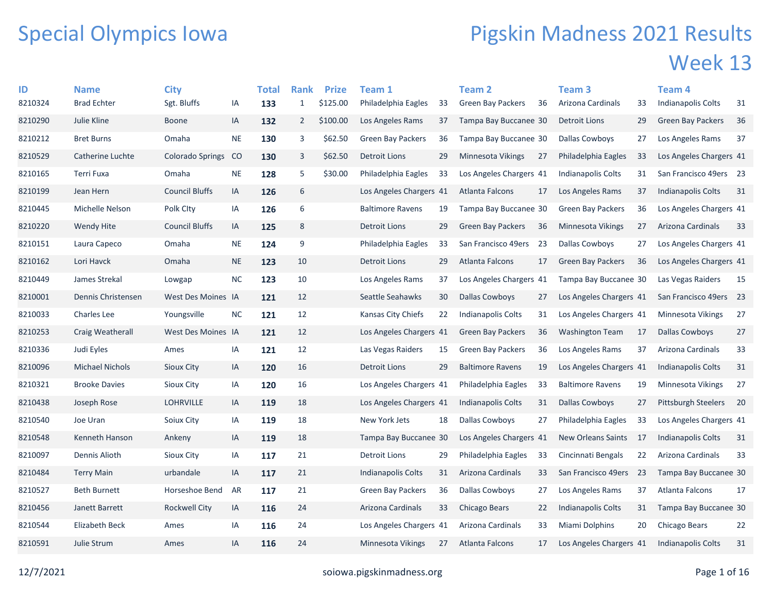## Special Olympics Iowa

## Pigskin Madness 2021 Results Week 13

| ID      | <b>Name</b>            | <b>City</b>             |           | Total | <b>Rank</b>    | <b>Prize</b> | Team 1                   |    | Team <sub>2</sub>        |    | Team <sub>3</sub>         |      | Team <sub>4</sub>          |    |
|---------|------------------------|-------------------------|-----------|-------|----------------|--------------|--------------------------|----|--------------------------|----|---------------------------|------|----------------------------|----|
| 8210324 | <b>Brad Echter</b>     | Sgt. Bluffs             | IA        | 133   | $\mathbf{1}$   | \$125.00     | Philadelphia Eagles      | 33 | <b>Green Bay Packers</b> | 36 | Arizona Cardinals         | 33   | Indianapolis Colts         | 31 |
| 8210290 | Julie Kline            | <b>Boone</b>            | IA        | 132   | $\overline{2}$ | \$100.00     | Los Angeles Rams         | 37 | Tampa Bay Buccanee 30    |    | Detroit Lions             | 29   | <b>Green Bay Packers</b>   | 36 |
| 8210212 | <b>Bret Burns</b>      | Omaha                   | <b>NE</b> | 130   | 3              | \$62.50      | <b>Green Bay Packers</b> | 36 | Tampa Bay Buccanee 30    |    | <b>Dallas Cowboys</b>     | 27   | Los Angeles Rams           | 37 |
| 8210529 | Catherine Luchte       | <b>Colorado Springs</b> | CO        | 130   | 3              | \$62.50      | <b>Detroit Lions</b>     | 29 | <b>Minnesota Vikings</b> | 27 | Philadelphia Eagles       | 33   | Los Angeles Chargers 41    |    |
| 8210165 | Terri Fuxa             | Omaha                   | $\sf NE$  | 128   | 5              | \$30.00      | Philadelphia Eagles      | 33 | Los Angeles Chargers 41  |    | Indianapolis Colts        | 31   | San Francisco 49ers 23     |    |
| 8210199 | Jean Hern              | <b>Council Bluffs</b>   | IA        | 126   | 6              |              | Los Angeles Chargers 41  |    | Atlanta Falcons          | 17 | Los Angeles Rams          | 37   | <b>Indianapolis Colts</b>  | 31 |
| 8210445 | Michelle Nelson        | Polk City               | IA        | 126   | 6              |              | <b>Baltimore Ravens</b>  | 19 | Tampa Bay Buccanee 30    |    | <b>Green Bay Packers</b>  | 36   | Los Angeles Chargers 41    |    |
| 8210220 | Wendy Hite             | <b>Council Bluffs</b>   | IA        | 125   | 8              |              | <b>Detroit Lions</b>     | 29 | <b>Green Bay Packers</b> | 36 | Minnesota Vikings         | 27   | Arizona Cardinals          | 33 |
| 8210151 | Laura Capeco           | Omaha                   | <b>NE</b> | 124   | 9              |              | Philadelphia Eagles      | 33 | San Francisco 49ers      | 23 | <b>Dallas Cowboys</b>     | 27   | Los Angeles Chargers 41    |    |
| 8210162 | Lori Havck             | Omaha                   | <b>NE</b> | 123   | 10             |              | <b>Detroit Lions</b>     | 29 | <b>Atlanta Falcons</b>   | 17 | <b>Green Bay Packers</b>  | 36   | Los Angeles Chargers 41    |    |
| 8210449 | James Strekal          | Lowgap                  | <b>NC</b> | 123   | 10             |              | Los Angeles Rams         | 37 | Los Angeles Chargers 41  |    | Tampa Bay Buccanee 30     |      | Las Vegas Raiders          | 15 |
| 8210001 | Dennis Christensen     | West Des Moines IA      |           | 121   | 12             |              | Seattle Seahawks         | 30 | Dallas Cowboys           | 27 | Los Angeles Chargers 41   |      | San Francisco 49ers 23     |    |
| 8210033 | <b>Charles Lee</b>     | Youngsville             | <b>NC</b> | 121   | 12             |              | Kansas City Chiefs       | 22 | Indianapolis Colts       | 31 | Los Angeles Chargers 41   |      | Minnesota Vikings          | 27 |
| 8210253 | Craig Weatherall       | West Des Moines IA      |           | 121   | 12             |              | Los Angeles Chargers 41  |    | Green Bay Packers        | 36 | <b>Washington Team</b>    | 17   | Dallas Cowboys             | 27 |
| 8210336 | Judi Eyles             | Ames                    | IA        | 121   | 12             |              | Las Vegas Raiders        | 15 | <b>Green Bay Packers</b> | 36 | Los Angeles Rams          | 37   | Arizona Cardinals          | 33 |
| 8210096 | <b>Michael Nichols</b> | <b>Sioux City</b>       | IA        | 120   | 16             |              | <b>Detroit Lions</b>     | 29 | <b>Baltimore Ravens</b>  | 19 | Los Angeles Chargers 41   |      | Indianapolis Colts         | 31 |
| 8210321 | <b>Brooke Davies</b>   | <b>Sioux City</b>       | IA        | 120   | 16             |              | Los Angeles Chargers 41  |    | Philadelphia Eagles      | 33 | <b>Baltimore Ravens</b>   | 19   | Minnesota Vikings          | 27 |
| 8210438 | Joseph Rose            | <b>LOHRVILLE</b>        | IA        | 119   | 18             |              | Los Angeles Chargers 41  |    | Indianapolis Colts       | 31 | <b>Dallas Cowboys</b>     | 27   | <b>Pittsburgh Steelers</b> | 20 |
| 8210540 | Joe Uran               | Soiux City              | IA        | 119   | 18             |              | New York Jets            | 18 | Dallas Cowboys           | 27 | Philadelphia Eagles       | 33   | Los Angeles Chargers 41    |    |
| 8210548 | Kenneth Hanson         | Ankeny                  | IA        | 119   | 18             |              | Tampa Bay Buccanee 30    |    | Los Angeles Chargers 41  |    | <b>New Orleans Saints</b> | - 17 | Indianapolis Colts         | 31 |
| 8210097 | Dennis Alioth          | Sioux City              | IA        | 117   | 21             |              | Detroit Lions            | 29 | Philadelphia Eagles      | 33 | Cincinnati Bengals        | 22   | Arizona Cardinals          | 33 |
| 8210484 | <b>Terry Main</b>      | urbandale               | IA        | 117   | 21             |              | Indianapolis Colts       | 31 | Arizona Cardinals        | 33 | San Francisco 49ers       | 23   | Tampa Bay Buccanee 30      |    |
| 8210527 | <b>Beth Burnett</b>    | Horseshoe Bend          | AR        | 117   | 21             |              | <b>Green Bay Packers</b> | 36 | Dallas Cowboys           | 27 | Los Angeles Rams          | 37   | Atlanta Falcons            | 17 |
| 8210456 | Janett Barrett         | <b>Rockwell City</b>    | IA        | 116   | 24             |              | Arizona Cardinals        | 33 | Chicago Bears            | 22 | Indianapolis Colts        | 31   | Tampa Bay Buccanee 30      |    |
| 8210544 | <b>Elizabeth Beck</b>  | Ames                    | IA        | 116   | 24             |              | Los Angeles Chargers 41  |    | Arizona Cardinals        | 33 | Miami Dolphins            | 20   | Chicago Bears              | 22 |
| 8210591 | Julie Strum            | Ames                    | ΙA        | 116   | 24             |              | Minnesota Vikings        | 27 | Atlanta Falcons          | 17 | Los Angeles Chargers 41   |      | <b>Indianapolis Colts</b>  | 31 |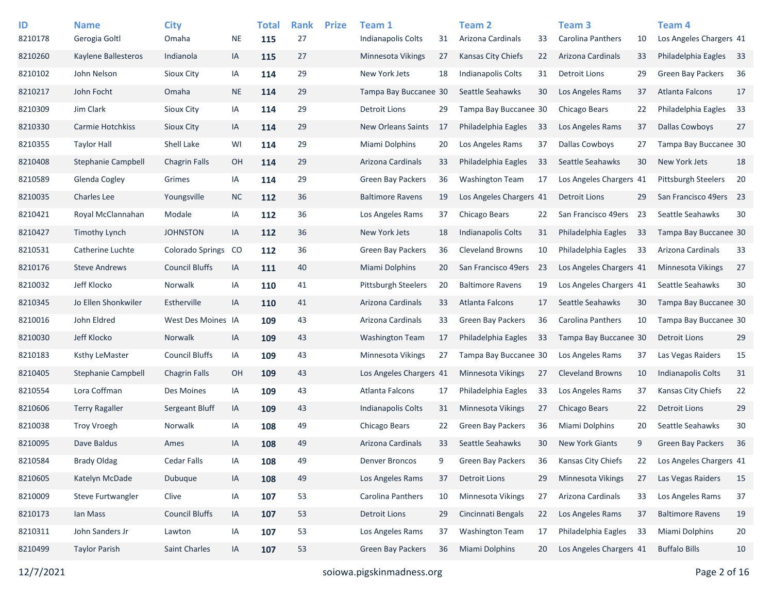| ID<br>8210178 | <b>Name</b><br>Gerogia Goltl | <b>City</b><br>Omaha    | <b>NE</b> | <b>Total</b><br>115 | <b>Rank</b><br>27 | <b>Prize</b> | Team 1<br><b>Indianapolis Colts</b> | 31 | <b>Team 2</b><br>Arizona Cardinals | 33  | Team <sub>3</sub><br><b>Carolina Panthers</b> | 10 | Team <sub>4</sub><br>Los Angeles Chargers 41 |    |
|---------------|------------------------------|-------------------------|-----------|---------------------|-------------------|--------------|-------------------------------------|----|------------------------------------|-----|-----------------------------------------------|----|----------------------------------------------|----|
| 8210260       | Kaylene Ballesteros          | Indianola               | IA        | 115                 | 27                |              | <b>Minnesota Vikings</b>            | 27 | <b>Kansas City Chiefs</b>          | 22  | Arizona Cardinals                             | 33 | Philadelphia Eagles                          | 33 |
| 8210102       | John Nelson                  | Sioux City              | IA        | 114                 | 29                |              | New York Jets                       | 18 | <b>Indianapolis Colts</b>          | 31  | <b>Detroit Lions</b>                          | 29 | <b>Green Bay Packers</b>                     | 36 |
| 8210217       | John Focht                   | Omaha                   | $\sf NE$  | 114                 | 29                |              | Tampa Bay Buccanee 30               |    | Seattle Seahawks                   | 30  | Los Angeles Rams                              | 37 | Atlanta Falcons                              | 17 |
| 8210309       | Jim Clark                    | Sioux City              | IA        | 114                 | 29                |              | Detroit Lions                       | 29 | Tampa Bay Buccanee 30              |     | Chicago Bears                                 | 22 | Philadelphia Eagles                          | 33 |
| 8210330       | Carmie Hotchkiss             | Sioux City              | IA        | 114                 | 29                |              | <b>New Orleans Saints</b>           | 17 | Philadelphia Eagles                | 33  | Los Angeles Rams                              | 37 | <b>Dallas Cowboys</b>                        | 27 |
| 8210355       | <b>Taylor Hall</b>           | Shell Lake              | WI        | 114                 | 29                |              | Miami Dolphins                      | 20 | Los Angeles Rams                   | 37  | <b>Dallas Cowboys</b>                         | 27 | Tampa Bay Buccanee 30                        |    |
| 8210408       | Stephanie Campbell           | <b>Chagrin Falls</b>    | OH        | 114                 | 29                |              | Arizona Cardinals                   | 33 | Philadelphia Eagles                | 33  | Seattle Seahawks                              | 30 | New York Jets                                | 18 |
| 8210589       | Glenda Cogley                | Grimes                  | IA        | 114                 | 29                |              | <b>Green Bay Packers</b>            | 36 | <b>Washington Team</b>             | 17  | Los Angeles Chargers 41                       |    | <b>Pittsburgh Steelers</b>                   | 20 |
| 8210035       | <b>Charles Lee</b>           | Youngsville             | <b>NC</b> | 112                 | 36                |              | <b>Baltimore Ravens</b>             | 19 | Los Angeles Chargers 41            |     | <b>Detroit Lions</b>                          | 29 | San Francisco 49ers                          | 23 |
| 8210421       | Royal McClannahan            | Modale                  | IA        | 112                 | 36                |              | Los Angeles Rams                    | 37 | Chicago Bears                      | 22  | San Francisco 49ers                           | 23 | Seattle Seahawks                             | 30 |
| 8210427       | <b>Timothy Lynch</b>         | <b>JOHNSTON</b>         | IA        | 112                 | 36                |              | New York Jets                       | 18 | <b>Indianapolis Colts</b>          | 31  | Philadelphia Eagles                           | 33 | Tampa Bay Buccanee 30                        |    |
| 8210531       | Catherine Luchte             | <b>Colorado Springs</b> | <b>CO</b> | 112                 | 36                |              | <b>Green Bay Packers</b>            | 36 | <b>Cleveland Browns</b>            | 10  | Philadelphia Eagles                           | 33 | Arizona Cardinals                            | 33 |
| 8210176       | <b>Steve Andrews</b>         | <b>Council Bluffs</b>   | IA        | 111                 | 40                |              | <b>Miami Dolphins</b>               | 20 | San Francisco 49ers                | -23 | Los Angeles Chargers 41                       |    | <b>Minnesota Vikings</b>                     | 27 |
| 8210032       | Jeff Klocko                  | Norwalk                 | IA        | 110                 | 41                |              | Pittsburgh Steelers                 | 20 | <b>Baltimore Ravens</b>            | 19  | Los Angeles Chargers 41                       |    | Seattle Seahawks                             | 30 |
| 8210345       | Jo Ellen Shonkwiler          | Estherville             | IA        | 110                 | 41                |              | Arizona Cardinals                   | 33 | <b>Atlanta Falcons</b>             | 17  | Seattle Seahawks                              | 30 | Tampa Bay Buccanee 30                        |    |
| 8210016       | John Eldred                  | West Des Moines IA      |           | 109                 | 43                |              | Arizona Cardinals                   | 33 | <b>Green Bay Packers</b>           | 36  | Carolina Panthers                             | 10 | Tampa Bay Buccanee 30                        |    |
| 8210030       | Jeff Klocko                  | <b>Norwalk</b>          | IA        | 109                 | 43                |              | <b>Washington Team</b>              | 17 | Philadelphia Eagles                | 33  | Tampa Bay Buccanee 30                         |    | <b>Detroit Lions</b>                         | 29 |
| 8210183       | Ksthy LeMaster               | <b>Council Bluffs</b>   | IA        | 109                 | 43                |              | Minnesota Vikings                   | 27 | Tampa Bay Buccanee 30              |     | Los Angeles Rams                              | 37 | Las Vegas Raiders                            | 15 |
| 8210405       | Stephanie Campbell           | <b>Chagrin Falls</b>    | OH        | 109                 | 43                |              | Los Angeles Chargers 41             |    | Minnesota Vikings                  | 27  | <b>Cleveland Browns</b>                       | 10 | <b>Indianapolis Colts</b>                    | 31 |
| 8210554       | Lora Coffman                 | Des Moines              | IA        | 109                 | 43                |              | Atlanta Falcons                     | 17 | Philadelphia Eagles                | 33  | Los Angeles Rams                              | 37 | Kansas City Chiefs                           | 22 |
| 8210606       | <b>Terry Ragaller</b>        | Sergeant Bluff          | IA        | 109                 | 43                |              | Indianapolis Colts                  | 31 | Minnesota Vikings                  | 27  | <b>Chicago Bears</b>                          | 22 | <b>Detroit Lions</b>                         | 29 |
| 8210038       | <b>Troy Vroegh</b>           | Norwalk                 | IA        | 108                 | 49                |              | Chicago Bears                       | 22 | Green Bay Packers                  | 36  | Miami Dolphins                                | 20 | Seattle Seahawks                             | 30 |
| 8210095       | Dave Baldus                  | Ames                    | IA        | 108                 | 49                |              | Arizona Cardinals                   | 33 | Seattle Seahawks                   | 30  | <b>New York Giants</b>                        | 9  | <b>Green Bay Packers</b>                     | 36 |
| 8210584       | <b>Brady Oldag</b>           | <b>Cedar Falls</b>      | IA        | 108                 | 49                |              | <b>Denver Broncos</b>               | 9  | <b>Green Bay Packers</b>           | 36  | Kansas City Chiefs                            | 22 | Los Angeles Chargers 41                      |    |
| 8210605       | Katelyn McDade               | Dubuque                 | IA        | 108                 | 49                |              | Los Angeles Rams                    | 37 | <b>Detroit Lions</b>               | 29  | Minnesota Vikings                             | 27 | Las Vegas Raiders                            | 15 |
| 8210009       | Steve Furtwangler            | Clive                   | IA        | 107                 | 53                |              | Carolina Panthers                   | 10 | Minnesota Vikings                  | 27  | Arizona Cardinals                             | 33 | Los Angeles Rams                             | 37 |
| 8210173       | Ian Mass                     | <b>Council Bluffs</b>   | IA        | 107                 | 53                |              | <b>Detroit Lions</b>                | 29 | Cincinnati Bengals                 | 22  | Los Angeles Rams                              | 37 | <b>Baltimore Ravens</b>                      | 19 |
| 8210311       | John Sanders Jr              | Lawton                  | IA        | 107                 | 53                |              | Los Angeles Rams                    | 37 | <b>Washington Team</b>             | 17  | Philadelphia Eagles                           | 33 | Miami Dolphins                               | 20 |
| 8210499       | <b>Taylor Parish</b>         | Saint Charles           | IA        | 107                 | 53                |              | Green Bay Packers                   | 36 | <b>Miami Dolphins</b>              | 20  | Los Angeles Chargers 41                       |    | <b>Buffalo Bills</b>                         | 10 |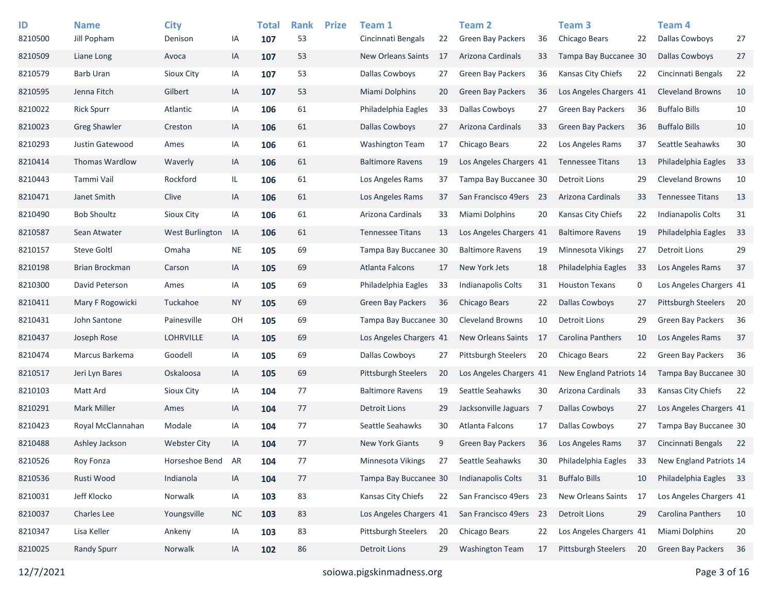| ID<br>8210500 | <b>Name</b><br>Jill Popham | <b>City</b><br>Denison | ΙA        | <b>Total</b><br>107 | <b>Rank</b><br>53 | <b>Prize</b> | Team 1<br>Cincinnati Bengals | 22 | <b>Team 2</b><br><b>Green Bay Packers</b> | 36   | Team <sub>3</sub><br>Chicago Bears | 22 | Team <sub>4</sub><br><b>Dallas Cowboys</b> | 27 |
|---------------|----------------------------|------------------------|-----------|---------------------|-------------------|--------------|------------------------------|----|-------------------------------------------|------|------------------------------------|----|--------------------------------------------|----|
| 8210509       | Liane Long                 | Avoca                  | IA        | 107                 | 53                |              | <b>New Orleans Saints</b>    | 17 | Arizona Cardinals                         | 33   | Tampa Bay Buccanee 30              |    | <b>Dallas Cowboys</b>                      | 27 |
| 8210579       | <b>Barb Uran</b>           | Sioux City             | IA        | 107                 | 53                |              | <b>Dallas Cowboys</b>        | 27 | <b>Green Bay Packers</b>                  | 36   | Kansas City Chiefs                 | 22 | Cincinnati Bengals                         | 22 |
| 8210595       | Jenna Fitch                | Gilbert                | IA        | 107                 | 53                |              | <b>Miami Dolphins</b>        | 20 | <b>Green Bay Packers</b>                  | 36   | Los Angeles Chargers 41            |    | <b>Cleveland Browns</b>                    | 10 |
| 8210022       | <b>Rick Spurr</b>          | Atlantic               | IA        | 106                 | 61                |              | Philadelphia Eagles          | 33 | Dallas Cowboys                            | 27   | <b>Green Bay Packers</b>           | 36 | <b>Buffalo Bills</b>                       | 10 |
| 8210023       | <b>Greg Shawler</b>        | Creston                | IA        | 106                 | 61                |              | <b>Dallas Cowboys</b>        | 27 | Arizona Cardinals                         | 33   | <b>Green Bay Packers</b>           | 36 | <b>Buffalo Bills</b>                       | 10 |
| 8210293       | Justin Gatewood            | Ames                   | IA        | 106                 | 61                |              | <b>Washington Team</b>       | 17 | Chicago Bears                             | 22   | Los Angeles Rams                   | 37 | Seattle Seahawks                           | 30 |
| 8210414       | Thomas Wardlow             | Waverly                | IA        | 106                 | 61                |              | <b>Baltimore Ravens</b>      | 19 | Los Angeles Chargers 41                   |      | <b>Tennessee Titans</b>            | 13 | Philadelphia Eagles                        | 33 |
| 8210443       | Tammi Vail                 | Rockford               | IL.       | 106                 | 61                |              | Los Angeles Rams             | 37 | Tampa Bay Buccanee 30                     |      | <b>Detroit Lions</b>               | 29 | <b>Cleveland Browns</b>                    | 10 |
| 8210471       | Janet Smith                | Clive                  | IA        | 106                 | 61                |              | Los Angeles Rams             | 37 | San Francisco 49ers                       | - 23 | Arizona Cardinals                  | 33 | <b>Tennessee Titans</b>                    | 13 |
| 8210490       | <b>Bob Shoultz</b>         | Sioux City             | IA        | 106                 | 61                |              | Arizona Cardinals            | 33 | Miami Dolphins                            | 20   | Kansas City Chiefs                 | 22 | <b>Indianapolis Colts</b>                  | 31 |
| 8210587       | Sean Atwater               | <b>West Burlington</b> | IA        | 106                 | 61                |              | <b>Tennessee Titans</b>      | 13 | Los Angeles Chargers 41                   |      | <b>Baltimore Ravens</b>            | 19 | Philadelphia Eagles                        | 33 |
| 8210157       | <b>Steve Goltl</b>         | Omaha                  | <b>NE</b> | 105                 | 69                |              | Tampa Bay Buccanee 30        |    | <b>Baltimore Ravens</b>                   | 19   | Minnesota Vikings                  | 27 | <b>Detroit Lions</b>                       | 29 |
| 8210198       | Brian Brockman             | Carson                 | IA        | 105                 | 69                |              | <b>Atlanta Falcons</b>       | 17 | New York Jets                             | 18   | Philadelphia Eagles                | 33 | Los Angeles Rams                           | 37 |
| 8210300       | David Peterson             | Ames                   | IA        | 105                 | 69                |              | Philadelphia Eagles          | 33 | Indianapolis Colts                        | 31   | <b>Houston Texans</b>              | 0  | Los Angeles Chargers 41                    |    |
| 8210411       | Mary F Rogowicki           | Tuckahoe               | <b>NY</b> | 105                 | 69                |              | <b>Green Bay Packers</b>     | 36 | Chicago Bears                             | 22   | Dallas Cowboys                     | 27 | <b>Pittsburgh Steelers</b>                 | 20 |
| 8210431       | John Santone               | Painesville            | OH        | 105                 | 69                |              | Tampa Bay Buccanee 30        |    | <b>Cleveland Browns</b>                   | 10   | <b>Detroit Lions</b>               | 29 | <b>Green Bay Packers</b>                   | 36 |
| 8210437       | Joseph Rose                | <b>LOHRVILLE</b>       | IA        | 105                 | 69                |              | Los Angeles Chargers 41      |    | <b>New Orleans Saints</b>                 | -17  | Carolina Panthers                  | 10 | Los Angeles Rams                           | 37 |
| 8210474       | Marcus Barkema             | Goodell                | IA        | 105                 | 69                |              | <b>Dallas Cowboys</b>        | 27 | <b>Pittsburgh Steelers</b>                | 20   | Chicago Bears                      | 22 | <b>Green Bay Packers</b>                   | 36 |
| 8210517       | Jeri Lyn Bares             | Oskaloosa              | IA        | 105                 | 69                |              | <b>Pittsburgh Steelers</b>   | 20 | Los Angeles Chargers 41                   |      | New England Patriots 14            |    | Tampa Bay Buccanee 30                      |    |
| 8210103       | Matt Ard                   | Sioux City             | IA        | 104                 | 77                |              | <b>Baltimore Ravens</b>      | 19 | Seattle Seahawks                          | 30   | Arizona Cardinals                  | 33 | Kansas City Chiefs                         | 22 |
| 8210291       | <b>Mark Miller</b>         | Ames                   | IA        | 104                 | 77                |              | <b>Detroit Lions</b>         | 29 | Jacksonville Jaguars                      | - 7  | <b>Dallas Cowboys</b>              | 27 | Los Angeles Chargers 41                    |    |
| 8210423       | Royal McClannahan          | Modale                 | IA        | 104                 | 77                |              | Seattle Seahawks             | 30 | Atlanta Falcons                           | 17   | <b>Dallas Cowboys</b>              | 27 | Tampa Bay Buccanee 30                      |    |
| 8210488       | Ashley Jackson             | <b>Webster City</b>    | IA        | 104                 | 77                |              | <b>New York Giants</b>       | 9  | Green Bay Packers                         | 36   | Los Angeles Rams                   | 37 | Cincinnati Bengals                         | 22 |
| 8210526       | Roy Fonza                  | Horseshoe Bend         | AR        | 104                 | 77                |              | Minnesota Vikings            | 27 | Seattle Seahawks                          | 30   | Philadelphia Eagles                | 33 | New England Patriots 14                    |    |
| 8210536       | Rusti Wood                 | Indianola              | IA        | 104                 | 77                |              | Tampa Bay Buccanee 30        |    | <b>Indianapolis Colts</b>                 | 31   | <b>Buffalo Bills</b>               | 10 | Philadelphia Eagles 33                     |    |
| 8210031       | Jeff Klocko                | Norwalk                | IA        | 103                 | 83                |              | Kansas City Chiefs           | 22 | San Francisco 49ers 23                    |      | New Orleans Saints                 | 17 | Los Angeles Chargers 41                    |    |
| 8210037       | Charles Lee                | Youngsville            | <b>NC</b> | 103                 | 83                |              | Los Angeles Chargers 41      |    | San Francisco 49ers                       | 23   | <b>Detroit Lions</b>               | 29 | Carolina Panthers                          | 10 |
| 8210347       | Lisa Keller                | Ankeny                 | IA        | 103                 | 83                |              | Pittsburgh Steelers          | 20 | Chicago Bears                             | 22   | Los Angeles Chargers 41            |    | Miami Dolphins                             | 20 |
| 8210025       | <b>Randy Spurr</b>         | Norwalk                | IA        | 102                 | 86                |              | <b>Detroit Lions</b>         | 29 | <b>Washington Team</b>                    | 17   | <b>Pittsburgh Steelers</b>         | 20 | <b>Green Bay Packers</b>                   | 36 |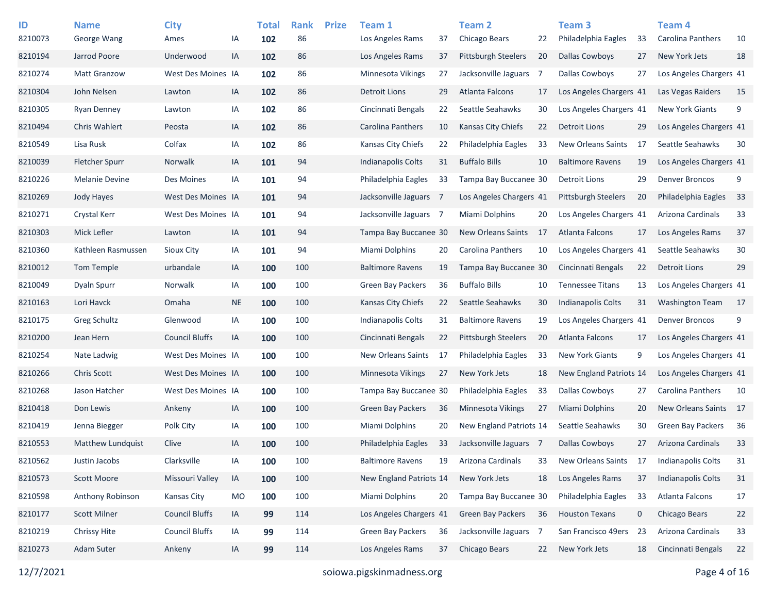| ID      | <b>Name</b>              | <b>City</b>           |           | Total | <b>Rank</b> | <b>Prize</b> | Team 1                    |    | <b>Team 2</b>              |    | Team <sub>3</sub>         |             | Team 4                   |    |
|---------|--------------------------|-----------------------|-----------|-------|-------------|--------------|---------------------------|----|----------------------------|----|---------------------------|-------------|--------------------------|----|
| 8210073 | George Wang              | Ames                  | IA        | 102   | 86          |              | Los Angeles Rams          | 37 | Chicago Bears              | 22 | Philadelphia Eagles       | 33          | Carolina Panthers        | 10 |
| 8210194 | Jarrod Poore             | Underwood             | IA        | 102   | 86          |              | Los Angeles Rams          | 37 | <b>Pittsburgh Steelers</b> | 20 | Dallas Cowboys            | 27          | New York Jets            | 18 |
| 8210274 | <b>Matt Granzow</b>      | West Des Moines IA    |           | 102   | 86          |              | Minnesota Vikings         | 27 | Jacksonville Jaguars 7     |    | <b>Dallas Cowboys</b>     | 27          | Los Angeles Chargers 41  |    |
| 8210304 | John Nelsen              | Lawton                | IA        | 102   | 86          |              | <b>Detroit Lions</b>      | 29 | Atlanta Falcons            | 17 | Los Angeles Chargers 41   |             | Las Vegas Raiders        | 15 |
| 8210305 | <b>Ryan Denney</b>       | Lawton                | IA        | 102   | 86          |              | Cincinnati Bengals        | 22 | Seattle Seahawks           | 30 | Los Angeles Chargers 41   |             | <b>New York Giants</b>   | 9  |
| 8210494 | <b>Chris Wahlert</b>     | Peosta                | IA        | 102   | 86          |              | Carolina Panthers         | 10 | <b>Kansas City Chiefs</b>  | 22 | <b>Detroit Lions</b>      | 29          | Los Angeles Chargers 41  |    |
| 8210549 | Lisa Rusk                | Colfax                | IA        | 102   | 86          |              | Kansas City Chiefs        | 22 | Philadelphia Eagles        | 33 | New Orleans Saints        | 17          | Seattle Seahawks         | 30 |
| 8210039 | <b>Fletcher Spurr</b>    | Norwalk               | IA        | 101   | 94          |              | <b>Indianapolis Colts</b> | 31 | <b>Buffalo Bills</b>       | 10 | <b>Baltimore Ravens</b>   | 19          | Los Angeles Chargers 41  |    |
| 8210226 | <b>Melanie Devine</b>    | Des Moines            | IA        | 101   | 94          |              | Philadelphia Eagles       | 33 | Tampa Bay Buccanee 30      |    | Detroit Lions             | 29          | <b>Denver Broncos</b>    | 9  |
| 8210269 | Jody Hayes               | West Des Moines IA    |           | 101   | 94          |              | Jacksonville Jaguars 7    |    | Los Angeles Chargers 41    |    | Pittsburgh Steelers       | 20          | Philadelphia Eagles      | 33 |
| 8210271 | Crystal Kerr             | West Des Moines IA    |           | 101   | 94          |              | Jacksonville Jaguars 7    |    | <b>Miami Dolphins</b>      | 20 | Los Angeles Chargers 41   |             | Arizona Cardinals        | 33 |
| 8210303 | Mick Lefler              | Lawton                | IA        | 101   | 94          |              | Tampa Bay Buccanee 30     |    | <b>New Orleans Saints</b>  | 17 | Atlanta Falcons           | 17          | Los Angeles Rams         | 37 |
| 8210360 | Kathleen Rasmussen       | Sioux City            | IA        | 101   | 94          |              | Miami Dolphins            | 20 | Carolina Panthers          | 10 | Los Angeles Chargers 41   |             | Seattle Seahawks         | 30 |
| 8210012 | Tom Temple               | urbandale             | IA        | 100   | 100         |              | <b>Baltimore Ravens</b>   | 19 | Tampa Bay Buccanee 30      |    | Cincinnati Bengals        | 22          | <b>Detroit Lions</b>     | 29 |
| 8210049 | Dyaln Spurr              | Norwalk               | IA        | 100   | 100         |              | <b>Green Bay Packers</b>  | 36 | <b>Buffalo Bills</b>       | 10 | <b>Tennessee Titans</b>   | 13          | Los Angeles Chargers 41  |    |
| 8210163 | Lori Havck               | Omaha                 | <b>NE</b> | 100   | 100         |              | Kansas City Chiefs        | 22 | Seattle Seahawks           | 30 | <b>Indianapolis Colts</b> | 31          | Washington Team          | 17 |
| 8210175 | Greg Schultz             | Glenwood              | IA        | 100   | 100         |              | <b>Indianapolis Colts</b> | 31 | <b>Baltimore Ravens</b>    | 19 | Los Angeles Chargers 41   |             | <b>Denver Broncos</b>    | 9  |
| 8210200 | Jean Hern                | <b>Council Bluffs</b> | IA        | 100   | 100         |              | Cincinnati Bengals        | 22 | <b>Pittsburgh Steelers</b> | 20 | Atlanta Falcons           | 17          | Los Angeles Chargers 41  |    |
| 8210254 | Nate Ladwig              | West Des Moines IA    |           | 100   | 100         |              | New Orleans Saints        | 17 | Philadelphia Eagles        | 33 | <b>New York Giants</b>    | 9           | Los Angeles Chargers 41  |    |
| 8210266 | <b>Chris Scott</b>       | West Des Moines IA    |           | 100   | 100         |              | Minnesota Vikings         | 27 | New York Jets              | 18 | New England Patriots 14   |             | Los Angeles Chargers 41  |    |
| 8210268 | Jason Hatcher            | West Des Moines IA    |           | 100   | 100         |              | Tampa Bay Buccanee 30     |    | Philadelphia Eagles        | 33 | <b>Dallas Cowboys</b>     | 27          | Carolina Panthers        | 10 |
| 8210418 | Don Lewis                | Ankeny                | IA        | 100   | 100         |              | <b>Green Bay Packers</b>  | 36 | <b>Minnesota Vikings</b>   | 27 | <b>Miami Dolphins</b>     | 20          | New Orleans Saints       | 17 |
| 8210419 | Jenna Biegger            | Polk City             | IA        | 100   | 100         |              | Miami Dolphins            | 20 | New England Patriots 14    |    | Seattle Seahawks          | 30          | <b>Green Bay Packers</b> | 36 |
| 8210553 | <b>Matthew Lundquist</b> | Clive                 | IA        | 100   | 100         |              | Philadelphia Eagles       | 33 | Jacksonville Jaguars 7     |    | <b>Dallas Cowboys</b>     | 27          | Arizona Cardinals        | 33 |
| 8210562 | Justin Jacobs            | Clarksville           | IA        | 100   | 100         |              | <b>Baltimore Ravens</b>   | 19 | Arizona Cardinals          | 33 | New Orleans Saints        | 17          | Indianapolis Colts       | 31 |
| 8210573 | Scott Moore              | Missouri Valley       | IA        | 100   | 100         |              | New England Patriots 14   |    | New York Jets              | 18 | Los Angeles Rams          | 37          | Indianapolis Colts       | 31 |
| 8210598 | Anthony Robinson         | Kansas City           | <b>MO</b> | 100   | 100         |              | Miami Dolphins            | 20 | Tampa Bay Buccanee 30      |    | Philadelphia Eagles       | 33          | Atlanta Falcons          | 17 |
| 8210177 | <b>Scott Milner</b>      | <b>Council Bluffs</b> | IA        | 99    | 114         |              | Los Angeles Chargers 41   |    | Green Bay Packers          | 36 | <b>Houston Texans</b>     | $\mathbf 0$ | Chicago Bears            | 22 |
| 8210219 | Chrissy Hite             | <b>Council Bluffs</b> | IA        | 99    | 114         |              | Green Bay Packers         | 36 | Jacksonville Jaguars 7     |    | San Francisco 49ers       | 23          | Arizona Cardinals        | 33 |
| 8210273 | Adam Suter               | Ankeny                | IA        | 99    | 114         |              | Los Angeles Rams          | 37 | Chicago Bears              | 22 | New York Jets             | 18          | Cincinnati Bengals       | 22 |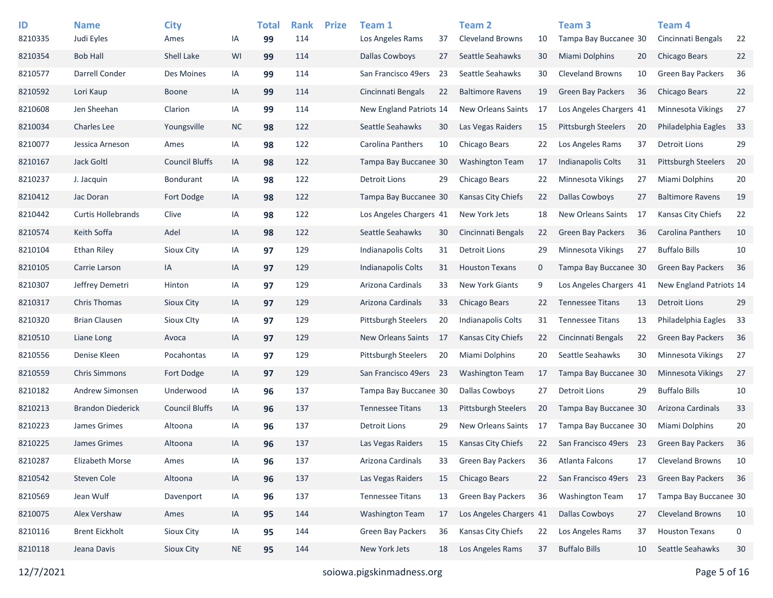| ID      | <b>Name</b>               | <b>City</b>           |           | <b>Total</b> | <b>Rank</b> | <b>Prize</b> | Team 1                    |     | <b>Team 2</b>              |             | Team 3                     |     | Team 4                   |      |
|---------|---------------------------|-----------------------|-----------|--------------|-------------|--------------|---------------------------|-----|----------------------------|-------------|----------------------------|-----|--------------------------|------|
| 8210335 | Judi Eyles                | Ames                  | IA        | 99           | 114         |              | Los Angeles Rams          | 37  | <b>Cleveland Browns</b>    | 10          | Tampa Bay Buccanee 30      |     | Cincinnati Bengals       | 22   |
| 8210354 | <b>Bob Hall</b>           | Shell Lake            | WI        | 99           | 114         |              | <b>Dallas Cowboys</b>     | 27  | Seattle Seahawks           | 30          | Miami Dolphins             | 20  | <b>Chicago Bears</b>     | 22   |
| 8210577 | Darrell Conder            | Des Moines            | IA        | 99           | 114         |              | San Francisco 49ers       | -23 | Seattle Seahawks           | 30          | <b>Cleveland Browns</b>    | 10  | Green Bay Packers        | 36   |
| 8210592 | Lori Kaup                 | <b>Boone</b>          | IA        | 99           | 114         |              | Cincinnati Bengals        | 22  | <b>Baltimore Ravens</b>    | 19          | <b>Green Bay Packers</b>   | 36  | <b>Chicago Bears</b>     | 22   |
| 8210608 | Jen Sheehan               | Clarion               | IA        | 99           | 114         |              | New England Patriots 14   |     | <b>New Orleans Saints</b>  | 17          | Los Angeles Chargers 41    |     | <b>Minnesota Vikings</b> | 27   |
| 8210034 | <b>Charles Lee</b>        | Youngsville           | <b>NC</b> | 98           | 122         |              | Seattle Seahawks          | 30  | Las Vegas Raiders          | 15          | <b>Pittsburgh Steelers</b> | 20  | Philadelphia Eagles      | 33   |
| 8210077 | Jessica Arneson           | Ames                  | IA        | 98           | 122         |              | <b>Carolina Panthers</b>  | 10  | Chicago Bears              | 22          | Los Angeles Rams           | 37  | <b>Detroit Lions</b>     | 29   |
| 8210167 | Jack Goltl                | <b>Council Bluffs</b> | IA        | 98           | 122         |              | Tampa Bay Buccanee 30     |     | <b>Washington Team</b>     | 17          | <b>Indianapolis Colts</b>  | 31  | Pittsburgh Steelers      | 20   |
| 8210237 | J. Jacquin                | Bondurant             | IA        | 98           | 122         |              | <b>Detroit Lions</b>      | 29  | Chicago Bears              | 22          | Minnesota Vikings          | 27  | Miami Dolphins           | 20   |
| 8210412 | Jac Doran                 | Fort Dodge            | IA        | 98           | 122         |              | Tampa Bay Buccanee 30     |     | Kansas City Chiefs         | 22          | <b>Dallas Cowboys</b>      | 27  | <b>Baltimore Ravens</b>  | 19   |
| 8210442 | <b>Curtis Hollebrands</b> | Clive                 | IA        | 98           | 122         |              | Los Angeles Chargers 41   |     | New York Jets              | 18          | <b>New Orleans Saints</b>  | -17 | Kansas City Chiefs       | 22   |
| 8210574 | Keith Soffa               | Adel                  | IA        | 98           | 122         |              | Seattle Seahawks          | 30  | Cincinnati Bengals         | 22          | <b>Green Bay Packers</b>   | 36  | Carolina Panthers        | 10   |
| 8210104 | <b>Ethan Riley</b>        | Sioux City            | IA        | 97           | 129         |              | <b>Indianapolis Colts</b> | 31  | <b>Detroit Lions</b>       | 29          | Minnesota Vikings          | 27  | <b>Buffalo Bills</b>     | 10   |
| 8210105 | Carrie Larson             | IA                    | IA        | 97           | 129         |              | <b>Indianapolis Colts</b> | 31  | <b>Houston Texans</b>      | $\mathbf 0$ | Tampa Bay Buccanee 30      |     | Green Bay Packers        | 36   |
| 8210307 | Jeffrey Demetri           | Hinton                | IA        | 97           | 129         |              | Arizona Cardinals         | 33  | <b>New York Giants</b>     | 9           | Los Angeles Chargers 41    |     | New England Patriots 14  |      |
| 8210317 | <b>Chris Thomas</b>       | Sioux City            | IA        | 97           | 129         |              | Arizona Cardinals         | 33  | Chicago Bears              | 22          | <b>Tennessee Titans</b>    | 13  | <b>Detroit Lions</b>     | 29   |
| 8210320 | <b>Brian Clausen</b>      | <b>Sioux Clty</b>     | IA        | 97           | 129         |              | Pittsburgh Steelers       | 20  | <b>Indianapolis Colts</b>  | 31          | <b>Tennessee Titans</b>    | 13  | Philadelphia Eagles      | 33   |
| 8210510 | Liane Long                | Avoca                 | IA        | 97           | 129         |              | <b>New Orleans Saints</b> | 17  | <b>Kansas City Chiefs</b>  | 22          | Cincinnati Bengals         | 22  | <b>Green Bay Packers</b> | - 36 |
| 8210556 | Denise Kleen              | Pocahontas            | IA        | 97           | 129         |              | Pittsburgh Steelers       | 20  | Miami Dolphins             | 20          | Seattle Seahawks           | 30  | <b>Minnesota Vikings</b> | 27   |
| 8210559 | <b>Chris Simmons</b>      | Fort Dodge            | IA        | 97           | 129         |              | San Francisco 49ers       | -23 | <b>Washington Team</b>     | 17          | Tampa Bay Buccanee 30      |     | <b>Minnesota Vikings</b> | 27   |
| 8210182 | Andrew Simonsen           | Underwood             | IA        | 96           | 137         |              | Tampa Bay Buccanee 30     |     | <b>Dallas Cowboys</b>      | 27          | Detroit Lions              | 29  | <b>Buffalo Bills</b>     | 10   |
| 8210213 | <b>Brandon Diederick</b>  | <b>Council Bluffs</b> | IA        | 96           | 137         |              | <b>Tennessee Titans</b>   | 13  | <b>Pittsburgh Steelers</b> | 20          | Tampa Bay Buccanee 30      |     | Arizona Cardinals        | 33   |
| 8210223 | James Grimes              | Altoona               | IA        | 96           | 137         |              | <b>Detroit Lions</b>      | 29  | New Orleans Saints         | 17          | Tampa Bay Buccanee 30      |     | Miami Dolphins           | 20   |
| 8210225 | James Grimes              | Altoona               | IA        | 96           | 137         |              | Las Vegas Raiders         | 15  | <b>Kansas City Chiefs</b>  | 22          | San Francisco 49ers 23     |     | <b>Green Bay Packers</b> | 36   |
| 8210287 | Elizabeth Morse           | Ames                  | IA        | 96           | 137         |              | Arizona Cardinals         | 33  | <b>Green Bay Packers</b>   | 36          | Atlanta Falcons            | 17  | <b>Cleveland Browns</b>  | 10   |
| 8210542 | Steven Cole               | Altoona               | IA        | 96           | 137         |              | Las Vegas Raiders         | 15  | Chicago Bears              | 22          | San Francisco 49ers        | 23  | <b>Green Bay Packers</b> | 36   |
| 8210569 | Jean Wulf                 | Davenport             | IA        | 96           | 137         |              | <b>Tennessee Titans</b>   | 13  | Green Bay Packers          | 36          | <b>Washington Team</b>     | 17  | Tampa Bay Buccanee 30    |      |
| 8210075 | Alex Vershaw              | Ames                  | IA        | 95           | 144         |              | <b>Washington Team</b>    | 17  | Los Angeles Chargers 41    |             | <b>Dallas Cowboys</b>      | 27  | <b>Cleveland Browns</b>  | 10   |
| 8210116 | <b>Brent Eickholt</b>     | Sioux City            | IA        | 95           | 144         |              | Green Bay Packers         | 36  | Kansas City Chiefs         | 22          | Los Angeles Rams           | 37  | <b>Houston Texans</b>    | 0    |
| 8210118 | Jeana Davis               | Sioux City            | <b>NE</b> | 95           | 144         |              | New York Jets             | 18  | Los Angeles Rams           | 37          | <b>Buffalo Bills</b>       | 10  | Seattle Seahawks         | 30   |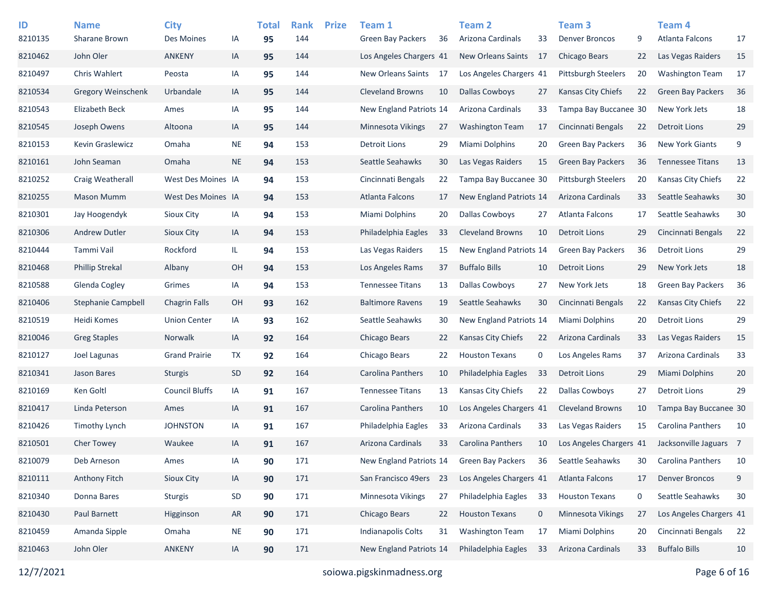| ID<br>8210135 | <b>Name</b><br><b>Sharane Brown</b> | <b>City</b><br>Des Moines | IA        | <b>Total</b><br>95 | <b>Rank</b><br>144 | <b>Prize</b> | Team 1<br>Green Bay Packers | 36 | Team 2<br>Arizona Cardinals | 33  | Team 3<br><b>Denver Broncos</b> | 9  | Team 4<br>Atlanta Falcons | 17 |
|---------------|-------------------------------------|---------------------------|-----------|--------------------|--------------------|--------------|-----------------------------|----|-----------------------------|-----|---------------------------------|----|---------------------------|----|
| 8210462       | John Oler                           | <b>ANKENY</b>             | IA        | 95                 | 144                |              | Los Angeles Chargers 41     |    | New Orleans Saints          | -17 | Chicago Bears                   | 22 | Las Vegas Raiders         | 15 |
| 8210497       | <b>Chris Wahlert</b>                | Peosta                    | IA        | 95                 | 144                |              | <b>New Orleans Saints</b>   | 17 | Los Angeles Chargers 41     |     | <b>Pittsburgh Steelers</b>      | 20 | <b>Washington Team</b>    | 17 |
| 8210534       | <b>Gregory Weinschenk</b>           | Urbandale                 | IA        | 95                 | 144                |              | <b>Cleveland Browns</b>     | 10 | <b>Dallas Cowboys</b>       | 27  | Kansas City Chiefs              | 22 | <b>Green Bay Packers</b>  | 36 |
| 8210543       | <b>Elizabeth Beck</b>               | Ames                      | IA        | 95                 | 144                |              | New England Patriots 14     |    | Arizona Cardinals           | 33  | Tampa Bay Buccanee 30           |    | New York Jets             | 18 |
| 8210545       | Joseph Owens                        | Altoona                   | IA        | 95                 | 144                |              | <b>Minnesota Vikings</b>    | 27 | <b>Washington Team</b>      | 17  | Cincinnati Bengals              | 22 | <b>Detroit Lions</b>      | 29 |
| 8210153       | <b>Kevin Graslewicz</b>             | Omaha                     | <b>NE</b> | 94                 | 153                |              | Detroit Lions               | 29 | Miami Dolphins              | 20  | <b>Green Bay Packers</b>        | 36 | <b>New York Giants</b>    | 9  |
| 8210161       | John Seaman                         | Omaha                     | <b>NE</b> | 94                 | 153                |              | Seattle Seahawks            | 30 | Las Vegas Raiders           | 15  | <b>Green Bay Packers</b>        | 36 | <b>Tennessee Titans</b>   | 13 |
| 8210252       | Craig Weatherall                    | West Des Moines IA        |           | 94                 | 153                |              | Cincinnati Bengals          | 22 | Tampa Bay Buccanee 30       |     | <b>Pittsburgh Steelers</b>      | 20 | Kansas City Chiefs        | 22 |
| 8210255       | <b>Mason Mumm</b>                   | West Des Moines IA        |           | 94                 | 153                |              | Atlanta Falcons             | 17 | New England Patriots 14     |     | Arizona Cardinals               | 33 | Seattle Seahawks          | 30 |
| 8210301       | Jay Hoogendyk                       | Sioux City                | IA        | 94                 | 153                |              | <b>Miami Dolphins</b>       | 20 | <b>Dallas Cowboys</b>       | 27  | Atlanta Falcons                 | 17 | Seattle Seahawks          | 30 |
| 8210306       | Andrew Dutler                       | Sioux City                | IA        | 94                 | 153                |              | Philadelphia Eagles         | 33 | <b>Cleveland Browns</b>     | 10  | <b>Detroit Lions</b>            | 29 | Cincinnati Bengals        | 22 |
| 8210444       | Tammi Vail                          | Rockford                  | IL.       |                    | 153                |              | Las Vegas Raiders           | 15 | New England Patriots 14     |     | <b>Green Bay Packers</b>        | 36 | <b>Detroit Lions</b>      | 29 |
| 8210468       | <b>Phillip Strekal</b>              |                           |           | 94                 |                    |              |                             |    |                             |     |                                 |    |                           |    |
|               |                                     | Albany                    | OH        | 94                 | 153                |              | Los Angeles Rams            | 37 | <b>Buffalo Bills</b>        | 10  | <b>Detroit Lions</b>            | 29 | New York Jets             | 18 |
| 8210588       | Glenda Cogley                       | Grimes                    | IA        | 94                 | 153                |              | <b>Tennessee Titans</b>     | 13 | <b>Dallas Cowboys</b>       | 27  | New York Jets                   | 18 | <b>Green Bay Packers</b>  | 36 |
| 8210406       | Stephanie Campbell                  | <b>Chagrin Falls</b>      | OН        | 93                 | 162                |              | <b>Baltimore Ravens</b>     | 19 | Seattle Seahawks            | 30  | Cincinnati Bengals              | 22 | <b>Kansas City Chiefs</b> | 22 |
| 8210519       | Heidi Komes                         | <b>Union Center</b>       | IA        | 93                 | 162                |              | Seattle Seahawks            | 30 | New England Patriots 14     |     | Miami Dolphins                  | 20 | <b>Detroit Lions</b>      | 29 |
| 8210046       | <b>Greg Staples</b>                 | Norwalk                   | IA        | 92                 | 164                |              | Chicago Bears               | 22 | <b>Kansas City Chiefs</b>   | 22  | Arizona Cardinals               | 33 | Las Vegas Raiders         | 15 |
| 8210127       | Joel Lagunas                        | <b>Grand Prairie</b>      | TX        | 92                 | 164                |              | Chicago Bears               | 22 | <b>Houston Texans</b>       | 0   | Los Angeles Rams                | 37 | Arizona Cardinals         | 33 |
| 8210341       | Jason Bares                         | <b>Sturgis</b>            | <b>SD</b> | 92                 | 164                |              | Carolina Panthers           | 10 | Philadelphia Eagles         | 33  | <b>Detroit Lions</b>            | 29 | Miami Dolphins            | 20 |
| 8210169       | Ken Goltl                           | <b>Council Bluffs</b>     | IA        | 91                 | 167                |              | <b>Tennessee Titans</b>     | 13 | Kansas City Chiefs          | 22  | <b>Dallas Cowboys</b>           | 27 | <b>Detroit Lions</b>      | 29 |
| 8210417       | Linda Peterson                      | Ames                      | IA        | 91                 | 167                |              | Carolina Panthers           | 10 | Los Angeles Chargers 41     |     | Cleveland Browns                | 10 | Tampa Bay Buccanee 30     |    |
| 8210426       | <b>Timothy Lynch</b>                | <b>JOHNSTON</b>           | IA        | 91                 | 167                |              | Philadelphia Eagles         | 33 | Arizona Cardinals           | 33  | Las Vegas Raiders               | 15 | <b>Carolina Panthers</b>  | 10 |
| 8210501       | <b>Cher Towey</b>                   | Waukee                    | IA        | 91                 | 167                |              | Arizona Cardinals           | 33 | <b>Carolina Panthers</b>    | 10  | Los Angeles Chargers 41         |    | Jacksonville Jaguars 7    |    |
| 8210079       | Deb Arneson                         | Ames                      | IA        | 90                 | 171                |              | New England Patriots 14     |    | <b>Green Bay Packers</b>    | 36  | Seattle Seahawks                | 30 | <b>Carolina Panthers</b>  | 10 |
| 8210111       | Anthony Fitch                       | Sioux City                | IA        | 90                 | 171                |              | San Francisco 49ers 23      |    | Los Angeles Chargers 41     |     | Atlanta Falcons                 | 17 | <b>Denver Broncos</b>     | 9  |
| 8210340       | Donna Bares                         | <b>Sturgis</b>            | SD        | 90                 | 171                |              | Minnesota Vikings           | 27 | Philadelphia Eagles         | 33  | <b>Houston Texans</b>           | 0  | Seattle Seahawks          | 30 |
| 8210430       | Paul Barnett                        | Higginson                 | AR        | 90                 | 171                |              | Chicago Bears               | 22 | <b>Houston Texans</b>       | 0   | Minnesota Vikings               | 27 | Los Angeles Chargers 41   |    |
| 8210459       | Amanda Sipple                       | Omaha                     | <b>NE</b> | 90                 | 171                |              | Indianapolis Colts          | 31 | <b>Washington Team</b>      | 17  | Miami Dolphins                  | 20 | Cincinnati Bengals        | 22 |
| 8210463       | John Oler                           | <b>ANKENY</b>             | IA        | 90                 | 171                |              | New England Patriots 14     |    | Philadelphia Eagles         | 33  | Arizona Cardinals               | 33 | <b>Buffalo Bills</b>      | 10 |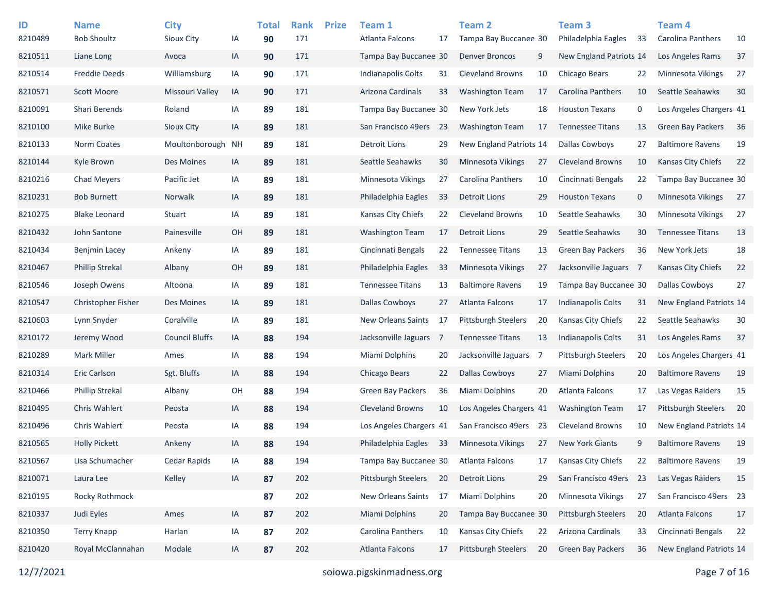| ID      | <b>Name</b>            | <b>City</b>           |    | <b>Total</b> | <b>Rank</b> | <b>Prize</b> | Team 1                   |    | <b>Team 2</b>              |     | Team <sub>3</sub>          |    | Team 4                     |    |
|---------|------------------------|-----------------------|----|--------------|-------------|--------------|--------------------------|----|----------------------------|-----|----------------------------|----|----------------------------|----|
| 8210489 | <b>Bob Shoultz</b>     | Sioux City            | IA | 90           | 171         |              | Atlanta Falcons          | 17 | Tampa Bay Buccanee 30      |     | Philadelphia Eagles        | 33 | Carolina Panthers          | 10 |
| 8210511 | Liane Long             | Avoca                 | IA | 90           | 171         |              | Tampa Bay Buccanee 30    |    | Denver Broncos             | 9   | New England Patriots 14    |    | Los Angeles Rams           | 37 |
| 8210514 | <b>Freddie Deeds</b>   | Williamsburg          | IA | 90           | 171         |              | Indianapolis Colts       | 31 | <b>Cleveland Browns</b>    | 10  | Chicago Bears              | 22 | Minnesota Vikings          | 27 |
| 8210571 | <b>Scott Moore</b>     | Missouri Valley       | IA | 90           | 171         |              | Arizona Cardinals        | 33 | <b>Washington Team</b>     | 17  | <b>Carolina Panthers</b>   | 10 | Seattle Seahawks           | 30 |
| 8210091 | Shari Berends          | Roland                | IA | 89           | 181         |              | Tampa Bay Buccanee 30    |    | New York Jets              | 18  | <b>Houston Texans</b>      | 0  | Los Angeles Chargers 41    |    |
| 8210100 | Mike Burke             | <b>Sioux City</b>     | IA | 89           | 181         |              | San Francisco 49ers      | 23 | <b>Washington Team</b>     | 17  | <b>Tennessee Titans</b>    | 13 | <b>Green Bay Packers</b>   | 36 |
| 8210133 | Norm Coates            | Moultonborough        | ΝH | 89           | 181         |              | <b>Detroit Lions</b>     | 29 | New England Patriots 14    |     | <b>Dallas Cowboys</b>      | 27 | <b>Baltimore Ravens</b>    | 19 |
| 8210144 | Kyle Brown             | Des Moines            | IA | 89           | 181         |              | Seattle Seahawks         | 30 | Minnesota Vikings          | 27  | <b>Cleveland Browns</b>    | 10 | <b>Kansas City Chiefs</b>  | 22 |
| 8210216 | <b>Chad Meyers</b>     | Pacific Jet           | IA | 89           | 181         |              | Minnesota Vikings        | 27 | <b>Carolina Panthers</b>   | 10  | Cincinnati Bengals         | 22 | Tampa Bay Buccanee 30      |    |
| 8210231 | <b>Bob Burnett</b>     | Norwalk               | IA | 89           | 181         |              | Philadelphia Eagles      | 33 | Detroit Lions              | 29  | <b>Houston Texans</b>      | 0  | Minnesota Vikings          | 27 |
| 8210275 | <b>Blake Leonard</b>   | Stuart                | IA | 89           | 181         |              | Kansas City Chiefs       | 22 | <b>Cleveland Browns</b>    | 10  | Seattle Seahawks           | 30 | <b>Minnesota Vikings</b>   | 27 |
| 8210432 | John Santone           | Painesville           | OH | 89           | 181         |              | <b>Washington Team</b>   | 17 | Detroit Lions              | 29  | Seattle Seahawks           | 30 | <b>Tennessee Titans</b>    | 13 |
| 8210434 | <b>Benjmin Lacey</b>   | Ankeny                | IA | 89           | 181         |              | Cincinnati Bengals       | 22 | <b>Tennessee Titans</b>    | 13  | <b>Green Bay Packers</b>   | 36 | New York Jets              | 18 |
| 8210467 | <b>Phillip Strekal</b> | Albany                | OH | 89           | 181         |              | Philadelphia Eagles      | 33 | <b>Minnesota Vikings</b>   | 27  | Jacksonville Jaguars 7     |    | Kansas City Chiefs         | 22 |
| 8210546 | Joseph Owens           | Altoona               | IA | 89           | 181         |              | <b>Tennessee Titans</b>  | 13 | <b>Baltimore Ravens</b>    | 19  | Tampa Bay Buccanee 30      |    | <b>Dallas Cowboys</b>      | 27 |
| 8210547 | Christopher Fisher     | Des Moines            | IA | 89           | 181         |              | <b>Dallas Cowboys</b>    | 27 | Atlanta Falcons            | 17  | Indianapolis Colts         | 31 | New England Patriots 14    |    |
| 8210603 | Lynn Snyder            | Coralville            | IA | 89           | 181         |              | New Orleans Saints       | 17 | <b>Pittsburgh Steelers</b> | 20  | Kansas City Chiefs         | 22 | Seattle Seahawks           | 30 |
| 8210172 | Jeremy Wood            | <b>Council Bluffs</b> | IA | 88           | 194         |              | Jacksonville Jaguars 7   |    | <b>Tennessee Titans</b>    | 13  | Indianapolis Colts         | 31 | Los Angeles Rams           | 37 |
| 8210289 | <b>Mark Miller</b>     | Ames                  | IA | 88           | 194         |              | Miami Dolphins           | 20 | Jacksonville Jaguars       | - 7 | <b>Pittsburgh Steelers</b> | 20 | Los Angeles Chargers 41    |    |
| 8210314 | <b>Eric Carlson</b>    | Sgt. Bluffs           | IA | 88           | 194         |              | Chicago Bears            | 22 | <b>Dallas Cowboys</b>      | 27  | Miami Dolphins             | 20 | <b>Baltimore Ravens</b>    | 19 |
| 8210466 | <b>Phillip Strekal</b> | Albany                | OH | 88           | 194         |              | <b>Green Bay Packers</b> | 36 | Miami Dolphins             | 20  | Atlanta Falcons            | 17 | Las Vegas Raiders          | 15 |
| 8210495 | <b>Chris Wahlert</b>   | Peosta                | IA | 88           | 194         |              | <b>Cleveland Browns</b>  | 10 | Los Angeles Chargers 41    |     | <b>Washington Team</b>     | 17 | <b>Pittsburgh Steelers</b> | 20 |
| 8210496 | <b>Chris Wahlert</b>   | Peosta                | IA | 88           | 194         |              | Los Angeles Chargers 41  |    | San Francisco 49ers 23     |     | <b>Cleveland Browns</b>    | 10 | New England Patriots 14    |    |
| 8210565 | Holly Pickett          | Ankeny                | IA | 88           | 194         |              | Philadelphia Eagles      | 33 | Minnesota Vikings          | 27  | <b>New York Giants</b>     | 9  | <b>Baltimore Ravens</b>    | 19 |
| 8210567 | Lisa Schumacher        | Cedar Rapids          | IA | 88           | 194         |              | Tampa Bay Buccanee 30    |    | Atlanta Falcons            | 17  | Kansas City Chiefs         | 22 | <b>Baltimore Ravens</b>    | 19 |
| 8210071 | Laura Lee              | Kelley                | IA | 87           | 202         |              | Pittsburgh Steelers      | 20 | <b>Detroit Lions</b>       | 29  | San Francisco 49ers        | 23 | Las Vegas Raiders          | 15 |
| 8210195 | Rocky Rothmock         |                       |    | 87           | 202         |              | New Orleans Saints       | 17 | Miami Dolphins             | 20  | Minnesota Vikings          | 27 | San Francisco 49ers 23     |    |
| 8210337 | Judi Eyles             | Ames                  | IA | 87           | 202         |              | <b>Miami Dolphins</b>    | 20 | Tampa Bay Buccanee 30      |     | <b>Pittsburgh Steelers</b> | 20 | Atlanta Falcons            | 17 |
| 8210350 | <b>Terry Knapp</b>     | Harlan                | IA | 87           | 202         |              | <b>Carolina Panthers</b> | 10 | Kansas City Chiefs         | 22  | Arizona Cardinals          | 33 | Cincinnati Bengals         | 22 |
| 8210420 | Royal McClannahan      | Modale                | IA | 87           | 202         |              | Atlanta Falcons          | 17 | Pittsburgh Steelers        | 20  | Green Bay Packers          | 36 | New England Patriots 14    |    |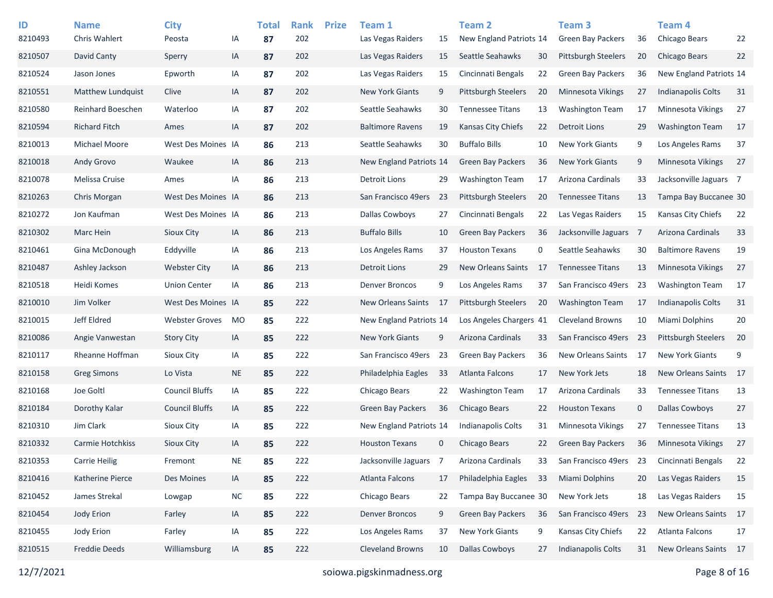| ID<br>8210493 | <b>Name</b><br>Chris Wahlert | <b>City</b><br>Peosta | ΙA        | <b>Total</b><br>87 | <b>Rank</b><br>202 | <b>Prize</b> | Team 1<br>Las Vegas Raiders | 15             | <b>Team 2</b><br>New England Patriots 14 |    | Team 3<br><b>Green Bay Packers</b> | 36          | Team 4<br>Chicago Bears   | 22     |
|---------------|------------------------------|-----------------------|-----------|--------------------|--------------------|--------------|-----------------------------|----------------|------------------------------------------|----|------------------------------------|-------------|---------------------------|--------|
| 8210507       | David Canty                  | Sperry                | IA        | 87                 | 202                |              | Las Vegas Raiders           | 15             | Seattle Seahawks                         | 30 | <b>Pittsburgh Steelers</b>         | 20          | <b>Chicago Bears</b>      | 22     |
| 8210524       | Jason Jones                  | Epworth               | IA        | 87                 | 202                |              | Las Vegas Raiders           | 15             | Cincinnati Bengals                       | 22 | <b>Green Bay Packers</b>           | 36          | New England Patriots 14   |        |
| 8210551       | <b>Matthew Lundquist</b>     | Clive                 | IA        | 87                 | 202                |              | <b>New York Giants</b>      | 9              | <b>Pittsburgh Steelers</b>               | 20 | <b>Minnesota Vikings</b>           | 27          | <b>Indianapolis Colts</b> | 31     |
| 8210580       | Reinhard Boeschen            | Waterloo              | IA        | 87                 | 202                |              | Seattle Seahawks            | 30             | <b>Tennessee Titans</b>                  | 13 | <b>Washington Team</b>             | 17          | Minnesota Vikings         | 27     |
| 8210594       | <b>Richard Fitch</b>         | Ames                  | IA        | 87                 | 202                |              | <b>Baltimore Ravens</b>     | 19             | <b>Kansas City Chiefs</b>                | 22 | <b>Detroit Lions</b>               | 29          | <b>Washington Team</b>    | 17     |
| 8210013       | Michael Moore                | West Des Moines IA    |           | 86                 | 213                |              | Seattle Seahawks            | 30             | <b>Buffalo Bills</b>                     | 10 | <b>New York Giants</b>             | 9           | Los Angeles Rams          | 37     |
| 8210018       | Andy Grovo                   | Waukee                | IA        | 86                 | 213                |              | New England Patriots 14     |                | <b>Green Bay Packers</b>                 | 36 | <b>New York Giants</b>             | 9           | Minnesota Vikings         | 27     |
| 8210078       | Melissa Cruise               | Ames                  | IA        | 86                 | 213                |              | Detroit Lions               | 29             | <b>Washington Team</b>                   | 17 | Arizona Cardinals                  | 33          | Jacksonville Jaguars 7    |        |
| 8210263       | Chris Morgan                 | West Des Moines IA    |           | 86                 | 213                |              | San Francisco 49ers         | -23            | <b>Pittsburgh Steelers</b>               | 20 | <b>Tennessee Titans</b>            | 13          | Tampa Bay Buccanee 30     |        |
| 8210272       | Jon Kaufman                  | West Des Moines IA    |           | 86                 | 213                |              | Dallas Cowboys              | 27             | Cincinnati Bengals                       | 22 | Las Vegas Raiders                  | 15          | Kansas City Chiefs        | 22     |
| 8210302       | Marc Hein                    | Sioux City            | IA        | 86                 | 213                |              | <b>Buffalo Bills</b>        | 10             | <b>Green Bay Packers</b>                 | 36 | Jacksonville Jaguars               | - 7         | Arizona Cardinals         | 33     |
| 8210461       | Gina McDonough               | Eddyville             | IA        | 86                 | 213                |              | Los Angeles Rams            | 37             | <b>Houston Texans</b>                    | 0  | Seattle Seahawks                   | 30          | <b>Baltimore Ravens</b>   | 19     |
| 8210487       | Ashley Jackson               | <b>Webster City</b>   | IA        | 86                 | 213                |              | <b>Detroit Lions</b>        | 29             | <b>New Orleans Saints</b>                | 17 | <b>Tennessee Titans</b>            | 13          | <b>Minnesota Vikings</b>  | 27     |
| 8210518       | Heidi Komes                  | <b>Union Center</b>   | IA        | 86                 | 213                |              | <b>Denver Broncos</b>       | 9              | Los Angeles Rams                         | 37 | San Francisco 49ers                | 23          | <b>Washington Team</b>    | 17     |
| 8210010       | Jim Volker                   | West Des Moines IA    |           | 85                 | 222                |              | New Orleans Saints          | -17            | <b>Pittsburgh Steelers</b>               | 20 | <b>Washington Team</b>             | 17          | <b>Indianapolis Colts</b> | 31     |
| 8210015       | Jeff Eldred                  | <b>Webster Groves</b> | MO        | 85                 | 222                |              | New England Patriots 14     |                | Los Angeles Chargers 41                  |    | <b>Cleveland Browns</b>            | 10          | Miami Dolphins            | $20\,$ |
| 8210086       | Angie Vanwestan              | <b>Story City</b>     | IA        | 85                 | 222                |              | <b>New York Giants</b>      | 9              | Arizona Cardinals                        | 33 | San Francisco 49ers                | 23          | Pittsburgh Steelers       | 20     |
| 8210117       | Rheanne Hoffman              | <b>Sioux City</b>     | IA        | 85                 | 222                |              | San Francisco 49ers         | 23             | <b>Green Bay Packers</b>                 | 36 | New Orleans Saints                 | -17         | <b>New York Giants</b>    | 9      |
| 8210158       | <b>Greg Simons</b>           | Lo Vista              | <b>NE</b> | 85                 | 222                |              | Philadelphia Eagles         | -33            | Atlanta Falcons                          | 17 | New York Jets                      | 18          | <b>New Orleans Saints</b> | - 17   |
| 8210168       | Joe Goltl                    | <b>Council Bluffs</b> | IA        | 85                 | 222                |              | Chicago Bears               | 22             | <b>Washington Team</b>                   | 17 | Arizona Cardinals                  | 33          | <b>Tennessee Titans</b>   | 13     |
| 8210184       | Dorothy Kalar                | <b>Council Bluffs</b> | IA        | 85                 | 222                |              | <b>Green Bay Packers</b>    | 36             | Chicago Bears                            | 22 | <b>Houston Texans</b>              | $\mathbf 0$ | <b>Dallas Cowboys</b>     | 27     |
| 8210310       | Jim Clark                    | Sioux City            | IA        | 85                 | 222                |              | New England Patriots 14     |                | Indianapolis Colts                       | 31 | Minnesota Vikings                  | 27          | <b>Tennessee Titans</b>   | 13     |
| 8210332       | <b>Carmie Hotchkiss</b>      | <b>Sioux City</b>     | IA        | 85                 | 222                |              | <b>Houston Texans</b>       | $\mathbf 0$    | Chicago Bears                            | 22 | <b>Green Bay Packers</b>           | 36          | <b>Minnesota Vikings</b>  | 27     |
| 8210353       | <b>Carrie Heilig</b>         | Fremont               | <b>NE</b> | 85                 | 222                |              | Jacksonville Jaguars        | $\overline{7}$ | Arizona Cardinals                        | 33 | San Francisco 49ers                | 23          | Cincinnati Bengals        | 22     |
| 8210416       | Katherine Pierce             | Des Moines            | IA        | 85                 | 222                |              | Atlanta Falcons             | 17             | Philadelphia Eagles                      | 33 | <b>Miami Dolphins</b>              | 20          | Las Vegas Raiders         | 15     |
| 8210452       | James Strekal                | Lowgap                | NC        | 85                 | 222                |              | Chicago Bears               | 22             | Tampa Bay Buccanee 30                    |    | New York Jets                      | 18          | Las Vegas Raiders         | 15     |
| 8210454       | Jody Erion                   | Farley                | IA        | 85                 | 222                |              | <b>Denver Broncos</b>       | 9              | <b>Green Bay Packers</b>                 | 36 | San Francisco 49ers                | 23          | New Orleans Saints        | 17     |
| 8210455       | Jody Erion                   | Farley                | IA        | 85                 | 222                |              | Los Angeles Rams            | 37             | New York Giants                          | 9  | Kansas City Chiefs                 | 22          | Atlanta Falcons           | 17     |
| 8210515       | <b>Freddie Deeds</b>         | Williamsburg          | IA        | 85                 | 222                |              | <b>Cleveland Browns</b>     | 10             | <b>Dallas Cowboys</b>                    | 27 | Indianapolis Colts                 | 31          | New Orleans Saints 17     |        |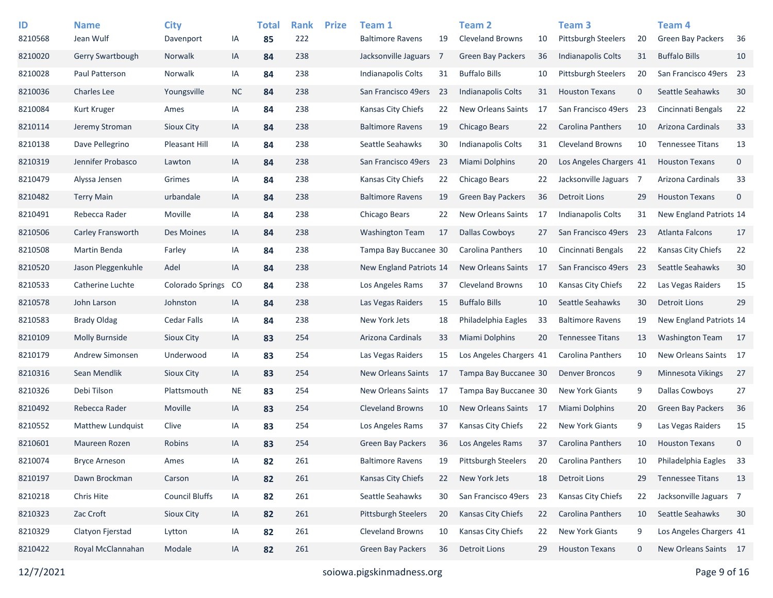| ID      | <b>Name</b>            | <b>City</b>             |           | <b>Total</b> | <b>Rank</b> | <b>Prize</b> | Team 1                    |     | <b>Team 2</b>             |     | Team <sub>3</sub>          |             | <b>Team 4</b>            |             |
|---------|------------------------|-------------------------|-----------|--------------|-------------|--------------|---------------------------|-----|---------------------------|-----|----------------------------|-------------|--------------------------|-------------|
| 8210568 | Jean Wulf              | Davenport               | IA        | 85           | 222         |              | <b>Baltimore Ravens</b>   | 19  | <b>Cleveland Browns</b>   | 10  | <b>Pittsburgh Steelers</b> | 20          | <b>Green Bay Packers</b> | 36          |
| 8210020 | Gerry Swartbough       | Norwalk                 | IA        | 84           | 238         |              | Jacksonville Jaguars      | 7   | Green Bay Packers         | 36  | Indianapolis Colts         | 31          | <b>Buffalo Bills</b>     | 10          |
| 8210028 | Paul Patterson         | <b>Norwalk</b>          | IA        | 84           | 238         |              | <b>Indianapolis Colts</b> | 31  | <b>Buffalo Bills</b>      | 10  | <b>Pittsburgh Steelers</b> | 20          | San Francisco 49ers      | 23          |
| 8210036 | <b>Charles Lee</b>     | Youngsville             | <b>NC</b> | 84           | 238         |              | San Francisco 49ers       | -23 | Indianapolis Colts        | 31  | <b>Houston Texans</b>      | $\mathbf 0$ | Seattle Seahawks         | 30          |
| 8210084 | Kurt Kruger            | Ames                    | IA        | 84           | 238         |              | Kansas City Chiefs        | 22  | <b>New Orleans Saints</b> | 17  | San Francisco 49ers        | 23          | Cincinnati Bengals       | 22          |
| 8210114 | Jeremy Stroman         | Sioux City              | IA        | 84           | 238         |              | <b>Baltimore Ravens</b>   | 19  | Chicago Bears             | 22  | <b>Carolina Panthers</b>   | 10          | Arizona Cardinals        | 33          |
| 8210138 | Dave Pellegrino        | <b>Pleasant Hill</b>    | IA        | 84           | 238         |              | Seattle Seahawks          | 30  | <b>Indianapolis Colts</b> | 31  | <b>Cleveland Browns</b>    | 10          | <b>Tennessee Titans</b>  | 13          |
| 8210319 | Jennifer Probasco      | Lawton                  | IA        | 84           | 238         |              | San Francisco 49ers       | 23  | <b>Miami Dolphins</b>     | 20  | Los Angeles Chargers 41    |             | <b>Houston Texans</b>    | $\mathbf 0$ |
| 8210479 | Alyssa Jensen          | Grimes                  | IA        | 84           | 238         |              | Kansas City Chiefs        | 22  | Chicago Bears             | 22  | Jacksonville Jaguars 7     |             | Arizona Cardinals        | 33          |
| 8210482 | <b>Terry Main</b>      | urbandale               | IA        | 84           | 238         |              | <b>Baltimore Ravens</b>   | 19  | <b>Green Bay Packers</b>  | 36  | <b>Detroit Lions</b>       | 29          | <b>Houston Texans</b>    | $\mathbf 0$ |
| 8210491 | Rebecca Rader          | Moville                 | IA        | 84           | 238         |              | Chicago Bears             | 22  | <b>New Orleans Saints</b> | 17  | <b>Indianapolis Colts</b>  | 31          | New England Patriots 14  |             |
| 8210506 | Carley Fransworth      | Des Moines              | IA        | 84           | 238         |              | <b>Washington Team</b>    | 17  | <b>Dallas Cowboys</b>     | 27  | San Francisco 49ers        | -23         | <b>Atlanta Falcons</b>   | 17          |
| 8210508 | Martin Benda           | Farley                  | IA        | 84           | 238         |              | Tampa Bay Buccanee 30     |     | Carolina Panthers         | 10  | Cincinnati Bengals         | 22          | Kansas City Chiefs       | 22          |
| 8210520 | Jason Pleggenkuhle     | Adel                    | IA        | 84           | 238         |              | New England Patriots 14   |     | <b>New Orleans Saints</b> | 17  | San Francisco 49ers        | 23          | Seattle Seahawks         | 30          |
| 8210533 | Catherine Luchte       | <b>Colorado Springs</b> | <b>CO</b> | 84           | 238         |              | Los Angeles Rams          | 37  | <b>Cleveland Browns</b>   | 10  | Kansas City Chiefs         | 22          | Las Vegas Raiders        | 15          |
| 8210578 | John Larson            | Johnston                | IA        | 84           | 238         |              | Las Vegas Raiders         | 15  | <b>Buffalo Bills</b>      | 10  | Seattle Seahawks           | 30          | <b>Detroit Lions</b>     | 29          |
| 8210583 | <b>Brady Oldag</b>     | <b>Cedar Falls</b>      | IA        | 84           | 238         |              | New York Jets             | 18  | Philadelphia Eagles       | 33  | <b>Baltimore Ravens</b>    | 19          | New England Patriots 14  |             |
| 8210109 | Molly Burnside         | Sioux City              | IA        | 83           | 254         |              | Arizona Cardinals         | 33  | Miami Dolphins            | 20  | <b>Tennessee Titans</b>    | 13          | <b>Washington Team</b>   | 17          |
| 8210179 | <b>Andrew Simonsen</b> | Underwood               | IA        | 83           | 254         |              | Las Vegas Raiders         | 15  | Los Angeles Chargers 41   |     | Carolina Panthers          | 10          | New Orleans Saints 17    |             |
| 8210316 | Sean Mendlik           | Sioux City              | IA        | 83           | 254         |              | <b>New Orleans Saints</b> | 17  | Tampa Bay Buccanee 30     |     | <b>Denver Broncos</b>      | 9           | <b>Minnesota Vikings</b> | 27          |
| 8210326 | Debi Tilson            | Plattsmouth             | <b>NE</b> | 83           | 254         |              | New Orleans Saints        | 17  | Tampa Bay Buccanee 30     |     | <b>New York Giants</b>     | 9           | <b>Dallas Cowboys</b>    | 27          |
| 8210492 | Rebecca Rader          | Moville                 | IA        | 83           | 254         |              | <b>Cleveland Browns</b>   | 10  | <b>New Orleans Saints</b> | -17 | Miami Dolphins             | 20          | <b>Green Bay Packers</b> | 36          |
| 8210552 | Matthew Lundquist      | Clive                   | IA        | 83           | 254         |              | Los Angeles Rams          | 37  | Kansas City Chiefs        | 22  | <b>New York Giants</b>     | 9           | Las Vegas Raiders        | 15          |
| 8210601 | Maureen Rozen          | Robins                  | IA        | 83           | 254         |              | <b>Green Bay Packers</b>  | 36  | Los Angeles Rams          | 37  | <b>Carolina Panthers</b>   | 10          | <b>Houston Texans</b>    | $\mathbf 0$ |
| 8210074 | <b>Bryce Arneson</b>   | Ames                    | IA        | 82           | 261         |              | <b>Baltimore Ravens</b>   | 19  | Pittsburgh Steelers       | 20  | <b>Carolina Panthers</b>   | 10          | Philadelphia Eagles      | 33          |
| 8210197 | Dawn Brockman          | Carson                  | IA        | 82           | 261         |              | Kansas City Chiefs        | 22  | New York Jets             | 18  | <b>Detroit Lions</b>       | 29          | <b>Tennessee Titans</b>  | 13          |
| 8210218 | Chris Hite             | <b>Council Bluffs</b>   | IA        | 82           | 261         |              | Seattle Seahawks          | 30  | San Francisco 49ers       | -23 | Kansas City Chiefs         | 22          | Jacksonville Jaguars 7   |             |
| 8210323 | Zac Croft              | Sioux City              | IA        | 82           | 261         |              | Pittsburgh Steelers       | 20  | Kansas City Chiefs        | 22  | Carolina Panthers          | 10          | Seattle Seahawks         | 30          |
| 8210329 | Clatyon Fjerstad       | Lytton                  | IA        | 82           | 261         |              | Cleveland Browns          | 10  | Kansas City Chiefs        | 22  | New York Giants            | 9           | Los Angeles Chargers 41  |             |
| 8210422 | Royal McClannahan      | Modale                  | ΙA        | 82           | 261         |              | <b>Green Bay Packers</b>  | 36  | Detroit Lions             | 29  | <b>Houston Texans</b>      | $\mathbf 0$ | New Orleans Saints 17    |             |
|         |                        |                         |           |              |             |              |                           |     |                           |     |                            |             |                          |             |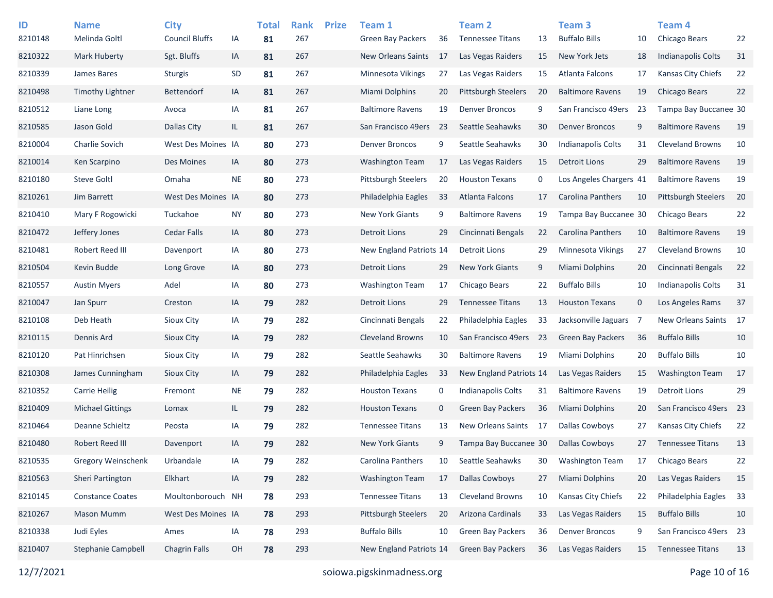| ID<br>8210148 | <b>Name</b><br>Melinda Goltl | <b>City</b><br><b>Council Bluffs</b> | IA        | <b>Total</b><br>81 | <b>Rank</b><br>267 | <b>Prize</b> | Team 1<br><b>Green Bay Packers</b> | 36          | Team 2<br><b>Tennessee Titans</b> | 13   | Team <sub>3</sub><br><b>Buffalo Bills</b> | 10             | Team 4<br>Chicago Bears   | 22 |
|---------------|------------------------------|--------------------------------------|-----------|--------------------|--------------------|--------------|------------------------------------|-------------|-----------------------------------|------|-------------------------------------------|----------------|---------------------------|----|
| 8210322       | <b>Mark Huberty</b>          | Sgt. Bluffs                          | IA        | 81                 | 267                |              | New Orleans Saints                 | 17          | Las Vegas Raiders                 | 15   | New York Jets                             | 18             | Indianapolis Colts        | 31 |
| 8210339       | James Bares                  | <b>Sturgis</b>                       | SD        | 81                 | 267                |              | Minnesota Vikings                  | 27          | Las Vegas Raiders                 | 15   | Atlanta Falcons                           | 17             | Kansas City Chiefs        | 22 |
| 8210498       | <b>Timothy Lightner</b>      | <b>Bettendorf</b>                    | IA        | 81                 | 267                |              | Miami Dolphins                     | 20          | <b>Pittsburgh Steelers</b>        | 20   | <b>Baltimore Ravens</b>                   | 19             | <b>Chicago Bears</b>      | 22 |
| 8210512       | Liane Long                   | Avoca                                | IA        | 81                 | 267                |              | <b>Baltimore Ravens</b>            | 19          | <b>Denver Broncos</b>             | 9    | San Francisco 49ers                       | 23             | Tampa Bay Buccanee 30     |    |
| 8210585       | Jason Gold                   | Dallas City                          | IL.       | 81                 | 267                |              | San Francisco 49ers                | 23          | Seattle Seahawks                  | 30   | <b>Denver Broncos</b>                     | 9              | <b>Baltimore Ravens</b>   | 19 |
| 8210004       | <b>Charlie Sovich</b>        | West Des Moines IA                   |           | 80                 | 273                |              | <b>Denver Broncos</b>              | 9           | Seattle Seahawks                  | 30   | <b>Indianapolis Colts</b>                 | 31             | <b>Cleveland Browns</b>   | 10 |
| 8210014       | Ken Scarpino                 | Des Moines                           | IA        | 80                 | 273                |              | <b>Washington Team</b>             | 17          | Las Vegas Raiders                 | 15   | <b>Detroit Lions</b>                      | 29             | <b>Baltimore Ravens</b>   | 19 |
| 8210180       | <b>Steve Goltl</b>           | Omaha                                | <b>NE</b> | 80                 | 273                |              | <b>Pittsburgh Steelers</b>         | 20          | <b>Houston Texans</b>             | 0    | Los Angeles Chargers 41                   |                | <b>Baltimore Ravens</b>   | 19 |
| 8210261       | Jim Barrett                  | West Des Moines IA                   |           |                    | 273                |              | Philadelphia Eagles                | 33          | Atlanta Falcons                   | 17   | <b>Carolina Panthers</b>                  | 10             | Pittsburgh Steelers       | 20 |
| 8210410       | Mary F Rogowicki             | Tuckahoe                             | <b>NY</b> | 80                 | 273                |              | <b>New York Giants</b>             | 9           | <b>Baltimore Ravens</b>           |      |                                           |                | Chicago Bears             | 22 |
|               |                              |                                      |           | 80                 |                    |              |                                    |             |                                   | 19   | Tampa Bay Buccanee 30                     |                |                           |    |
| 8210472       | Jeffery Jones                | <b>Cedar Falls</b>                   | IA        | 80                 | 273                |              | <b>Detroit Lions</b>               | 29          | Cincinnati Bengals                | 22   | <b>Carolina Panthers</b>                  | 10             | <b>Baltimore Ravens</b>   | 19 |
| 8210481       | Robert Reed III              | Davenport                            | IA        | 80                 | 273                |              | New England Patriots 14            |             | Detroit Lions                     | 29   | Minnesota Vikings                         | 27             | <b>Cleveland Browns</b>   | 10 |
| 8210504       | Kevin Budde                  | Long Grove                           | IA        | 80                 | 273                |              | <b>Detroit Lions</b>               | 29          | <b>New York Giants</b>            | 9    | Miami Dolphins                            | 20             | Cincinnati Bengals        | 22 |
| 8210557       | <b>Austin Myers</b>          | Adel                                 | IA        | 80                 | 273                |              | <b>Washington Team</b>             | 17          | Chicago Bears                     | 22   | <b>Buffalo Bills</b>                      | 10             | <b>Indianapolis Colts</b> | 31 |
| 8210047       | Jan Spurr                    | Creston                              | IA        | 79                 | 282                |              | <b>Detroit Lions</b>               | 29          | <b>Tennessee Titans</b>           | 13   | <b>Houston Texans</b>                     | $\mathbf 0$    | Los Angeles Rams          | 37 |
| 8210108       | Deb Heath                    | Sioux City                           | IA        | 79                 | 282                |              | Cincinnati Bengals                 | 22          | Philadelphia Eagles               | 33   | Jacksonville Jaguars                      | $\overline{7}$ | New Orleans Saints        | 17 |
| 8210115       | Dennis Ard                   | Sioux City                           | IA        | 79                 | 282                |              | <b>Cleveland Browns</b>            | 10          | San Francisco 49ers               | -23  | <b>Green Bay Packers</b>                  | 36             | <b>Buffalo Bills</b>      | 10 |
| 8210120       | Pat Hinrichsen               | Sioux City                           | IA        | 79                 | 282                |              | Seattle Seahawks                   | 30          | <b>Baltimore Ravens</b>           | 19   | Miami Dolphins                            | 20             | <b>Buffalo Bills</b>      | 10 |
| 8210308       | James Cunningham             | Sioux City                           | IA        | 79                 | 282                |              | Philadelphia Eagles                | 33          | New England Patriots 14           |      | Las Vegas Raiders                         | 15             | <b>Washington Team</b>    | 17 |
| 8210352       | <b>Carrie Heilig</b>         | Fremont                              | <b>NE</b> | 79                 | 282                |              | <b>Houston Texans</b>              | 0           | <b>Indianapolis Colts</b>         | 31   | <b>Baltimore Ravens</b>                   | 19             | <b>Detroit Lions</b>      | 29 |
| 8210409       | <b>Michael Gittings</b>      | Lomax                                | IL.       | 79                 | 282                |              | <b>Houston Texans</b>              | $\mathbf 0$ | <b>Green Bay Packers</b>          | 36   | <b>Miami Dolphins</b>                     | 20             | San Francisco 49ers 23    |    |
| 8210464       | Deanne Schieltz              | Peosta                               | IA        | 79                 | 282                |              | <b>Tennessee Titans</b>            | 13          | New Orleans Saints                | - 17 | <b>Dallas Cowboys</b>                     | 27             | Kansas City Chiefs        | 22 |
| 8210480       | Robert Reed III              | Davenport                            | IA        | 79                 | 282                |              | <b>New York Giants</b>             | 9           | Tampa Bay Buccanee 30             |      | Dallas Cowboys                            | 27             | <b>Tennessee Titans</b>   | 13 |
| 8210535       | <b>Gregory Weinschenk</b>    | Urbandale                            | IA        | 79                 | 282                |              | Carolina Panthers                  | 10          | Seattle Seahawks                  | 30   | <b>Washington Team</b>                    | 17             | Chicago Bears             | 22 |
| 8210563       | Sheri Partington             | Elkhart                              | IA        | 79                 | 282                |              | <b>Washington Team</b>             | 17          | <b>Dallas Cowboys</b>             | 27   | Miami Dolphins                            | 20             | Las Vegas Raiders         | 15 |
| 8210145       | <b>Constance Coates</b>      | Moultonborouch NH                    |           | 78                 | 293                |              | <b>Tennessee Titans</b>            | 13          | <b>Cleveland Browns</b>           | 10   | Kansas City Chiefs                        | 22             | Philadelphia Eagles       | 33 |
| 8210267       | <b>Mason Mumm</b>            | West Des Moines IA                   |           | 78                 | 293                |              | <b>Pittsburgh Steelers</b>         | 20          | Arizona Cardinals                 | 33   | Las Vegas Raiders                         | 15             | <b>Buffalo Bills</b>      | 10 |
| 8210338       | Judi Eyles                   | Ames                                 | IA        | 78                 | 293                |              | <b>Buffalo Bills</b>               | 10          | Green Bay Packers                 | 36   | <b>Denver Broncos</b>                     | 9              | San Francisco 49ers 23    |    |
| 8210407       | Stephanie Campbell           | <b>Chagrin Falls</b>                 | OH        | 78                 | 293                |              | New England Patriots 14            |             | <b>Green Bay Packers</b>          | 36   | Las Vegas Raiders                         | 15             | <b>Tennessee Titans</b>   | 13 |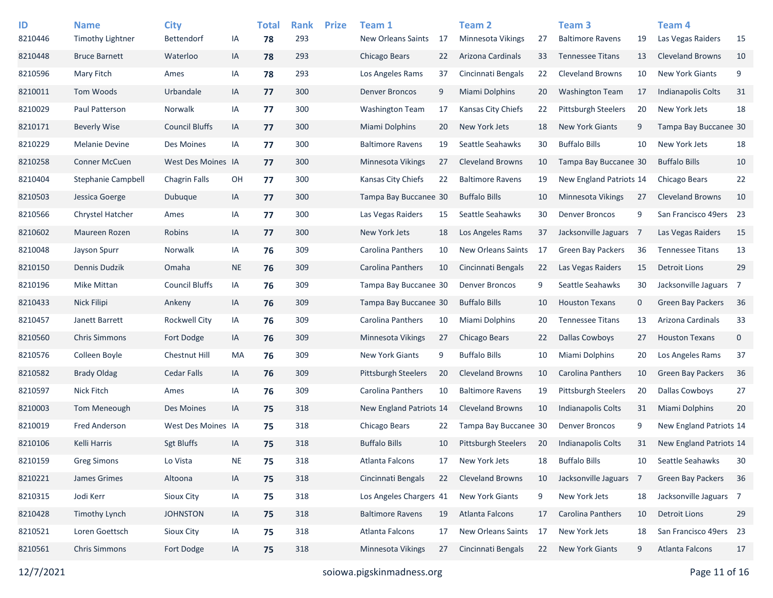| ID      | <b>Name</b>               | <b>City</b>           |           | <b>Total</b> | <b>Rank</b> | <b>Prize</b> | Team 1                     |     | <b>Team 2</b>              |     | Team <sub>3</sub>          |             | Team 4                   |             |
|---------|---------------------------|-----------------------|-----------|--------------|-------------|--------------|----------------------------|-----|----------------------------|-----|----------------------------|-------------|--------------------------|-------------|
| 8210446 | <b>Timothy Lightner</b>   | <b>Bettendorf</b>     | IA        | 78           | 293         |              | <b>New Orleans Saints</b>  | 17  | Minnesota Vikings          | 27  | <b>Baltimore Ravens</b>    | 19          | Las Vegas Raiders        | 15          |
| 8210448 | <b>Bruce Barnett</b>      | Waterloo              | IA        | 78           | 293         |              | Chicago Bears              | 22  | Arizona Cardinals          | 33  | <b>Tennessee Titans</b>    | 13          | <b>Cleveland Browns</b>  | 10          |
| 8210596 | Mary Fitch                | Ames                  | IA        | 78           | 293         |              | Los Angeles Rams           | 37  | Cincinnati Bengals         | 22  | <b>Cleveland Browns</b>    | 10          | <b>New York Giants</b>   | 9           |
| 8210011 | <b>Tom Woods</b>          | Urbandale             | IA        | 77           | 300         |              | <b>Denver Broncos</b>      | 9   | <b>Miami Dolphins</b>      | 20  | <b>Washington Team</b>     | 17          | Indianapolis Colts       | 31          |
| 8210029 | Paul Patterson            | Norwalk               | ΙA        | 77           | 300         |              | <b>Washington Team</b>     | 17  | Kansas City Chiefs         | 22  | <b>Pittsburgh Steelers</b> | 20          | New York Jets            | 18          |
| 8210171 | <b>Beverly Wise</b>       | <b>Council Bluffs</b> | IA        | 77           | 300         |              | <b>Miami Dolphins</b>      | 20  | New York Jets              | 18  | <b>New York Giants</b>     | 9           | Tampa Bay Buccanee 30    |             |
| 8210229 | <b>Melanie Devine</b>     | Des Moines            | IA        | 77           | 300         |              | <b>Baltimore Ravens</b>    | 19  | Seattle Seahawks           | 30  | <b>Buffalo Bills</b>       | 10          | New York Jets            | 18          |
| 8210258 | <b>Conner McCuen</b>      | West Des Moines IA    |           | 77           | 300         |              | Minnesota Vikings          | 27  | <b>Cleveland Browns</b>    | 10  | Tampa Bay Buccanee 30      |             | <b>Buffalo Bills</b>     | 10          |
| 8210404 | <b>Stephanie Campbell</b> | <b>Chagrin Falls</b>  | OH        | 77           | 300         |              | Kansas City Chiefs         | 22  | <b>Baltimore Ravens</b>    | 19  | New England Patriots 14    |             | Chicago Bears            | 22          |
| 8210503 | Jessica Goerge            | Dubuque               | IA        | 77           | 300         |              | Tampa Bay Buccanee 30      |     | <b>Buffalo Bills</b>       | 10  | Minnesota Vikings          | 27          | <b>Cleveland Browns</b>  | 10          |
| 8210566 | Chrystel Hatcher          | Ames                  | IA        | 77           | 300         |              | Las Vegas Raiders          | 15  | Seattle Seahawks           | 30  | <b>Denver Broncos</b>      | 9           | San Francisco 49ers 23   |             |
| 8210602 | Maureen Rozen             | Robins                | IA        | 77           | 300         |              | New York Jets              | 18  | Los Angeles Rams           | 37  | Jacksonville Jaguars 7     |             | Las Vegas Raiders        | 15          |
| 8210048 | Jayson Spurr              | Norwalk               | IA        | 76           | 309         |              | Carolina Panthers          | 10  | <b>New Orleans Saints</b>  | 17  | <b>Green Bay Packers</b>   | 36          | <b>Tennessee Titans</b>  | 13          |
| 8210150 | Dennis Dudzik             | Omaha                 | <b>NE</b> | 76           | 309         |              | <b>Carolina Panthers</b>   | 10  | Cincinnati Bengals         | 22  | Las Vegas Raiders          | 15          | <b>Detroit Lions</b>     | 29          |
| 8210196 | <b>Mike Mittan</b>        | <b>Council Bluffs</b> | IA        | 76           | 309         |              | Tampa Bay Buccanee 30      |     | <b>Denver Broncos</b>      | 9   | Seattle Seahawks           | 30          | Jacksonville Jaguars 7   |             |
| 8210433 | Nick Filipi               | Ankeny                | IA        | 76           | 309         |              | Tampa Bay Buccanee 30      |     | <b>Buffalo Bills</b>       | 10  | <b>Houston Texans</b>      | $\mathbf 0$ | <b>Green Bay Packers</b> | 36          |
| 8210457 | Janett Barrett            | <b>Rockwell City</b>  | IA        | 76           | 309         |              | Carolina Panthers          | 10  | Miami Dolphins             | 20  | <b>Tennessee Titans</b>    | 13          | Arizona Cardinals        | 33          |
| 8210560 | <b>Chris Simmons</b>      | Fort Dodge            | IA        | 76           | 309         |              | Minnesota Vikings          | 27  | Chicago Bears              | 22  | <b>Dallas Cowboys</b>      | 27          | <b>Houston Texans</b>    | $\mathbf 0$ |
| 8210576 | Colleen Boyle             | Chestnut Hill         | ΜA        | 76           | 309         |              | New York Giants            | 9   | <b>Buffalo Bills</b>       | 10  | Miami Dolphins             | 20          | Los Angeles Rams         | 37          |
| 8210582 | <b>Brady Oldag</b>        | <b>Cedar Falls</b>    | IA        | 76           | 309         |              | <b>Pittsburgh Steelers</b> | -20 | <b>Cleveland Browns</b>    | 10  | Carolina Panthers          | 10          | <b>Green Bay Packers</b> | 36          |
| 8210597 | <b>Nick Fitch</b>         | Ames                  | ΙA        | 76           | 309         |              | Carolina Panthers          | 10  | <b>Baltimore Ravens</b>    | 19  | <b>Pittsburgh Steelers</b> | 20          | <b>Dallas Cowboys</b>    | 27          |
| 8210003 | Tom Meneough              | Des Moines            | IA        | 75           | 318         |              | New England Patriots 14    |     | <b>Cleveland Browns</b>    | 10  | Indianapolis Colts         | 31          | <b>Miami Dolphins</b>    | 20          |
| 8210019 | <b>Fred Anderson</b>      | West Des Moines IA    |           | 75           | 318         |              | Chicago Bears              | 22  | Tampa Bay Buccanee 30      |     | <b>Denver Broncos</b>      | 9           | New England Patriots 14  |             |
| 8210106 | Kelli Harris              | <b>Sgt Bluffs</b>     | IA        | 75           | 318         |              | <b>Buffalo Bills</b>       | 10  | <b>Pittsburgh Steelers</b> | 20  | Indianapolis Colts         | 31          | New England Patriots 14  |             |
| 8210159 | <b>Greg Simons</b>        | Lo Vista              | <b>NE</b> | 75           | 318         |              | Atlanta Falcons            | 17  | New York Jets              | 18  | <b>Buffalo Bills</b>       | 10          | Seattle Seahawks         | 30          |
| 8210221 | James Grimes              | Altoona               | IA        | 75           | 318         |              | Cincinnati Bengals         | 22  | <b>Cleveland Browns</b>    | 10  | Jacksonville Jaguars 7     |             | Green Bay Packers        | 36          |
| 8210315 | Jodi Kerr                 | Sioux City            | IA        | 75           | 318         |              | Los Angeles Chargers 41    |     | <b>New York Giants</b>     | 9   | New York Jets              | 18          | Jacksonville Jaguars 7   |             |
| 8210428 | <b>Timothy Lynch</b>      | <b>JOHNSTON</b>       | IA        | 75           | 318         |              | <b>Baltimore Ravens</b>    | 19  | Atlanta Falcons            | 17  | Carolina Panthers          | 10          | <b>Detroit Lions</b>     | 29          |
| 8210521 | Loren Goettsch            | Sioux City            | IA        | 75           | 318         |              | Atlanta Falcons            | 17  | New Orleans Saints         | -17 | New York Jets              | 18          | San Francisco 49ers 23   |             |
| 8210561 | <b>Chris Simmons</b>      | Fort Dodge            | IA        | 75           | 318         |              | Minnesota Vikings          | 27  | Cincinnati Bengals         | 22  | New York Giants            | 9           | Atlanta Falcons          | 17          |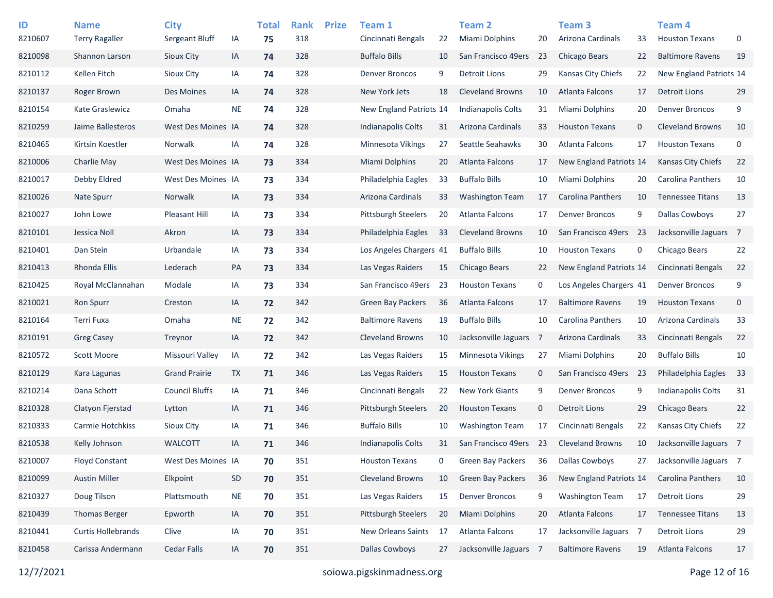| ID<br>8210607 | <b>Name</b><br><b>Terry Ragaller</b> | <b>City</b><br>Sergeant Bluff | IA        | <b>Total</b><br>75 | <b>Rank</b><br>318 | <b>Prize</b> | Team 1<br>Cincinnati Bengals | 22  | Team <sub>2</sub><br>Miami Dolphins | 20             | Team 3<br>Arizona Cardinals | 33          | Team <sub>4</sub><br><b>Houston Texans</b> | 0           |
|---------------|--------------------------------------|-------------------------------|-----------|--------------------|--------------------|--------------|------------------------------|-----|-------------------------------------|----------------|-----------------------------|-------------|--------------------------------------------|-------------|
| 8210098       | Shannon Larson                       | Sioux City                    | IA        | 74                 | 328                |              | <b>Buffalo Bills</b>         | 10  | San Francisco 49ers                 | 23             | Chicago Bears               | 22          | <b>Baltimore Ravens</b>                    | 19          |
| 8210112       | Kellen Fitch                         | Sioux City                    | IA        | 74                 | 328                |              | <b>Denver Broncos</b>        | 9   | <b>Detroit Lions</b>                | 29             | Kansas City Chiefs          | 22          | New England Patriots 14                    |             |
| 8210137       | Roger Brown                          | Des Moines                    | IA        | 74                 | 328                |              | New York Jets                | 18  | <b>Cleveland Browns</b>             | 10             | Atlanta Falcons             | 17          | <b>Detroit Lions</b>                       | 29          |
| 8210154       | Kate Graslewicz                      | Omaha                         | <b>NE</b> | 74                 | 328                |              | New England Patriots 14      |     | <b>Indianapolis Colts</b>           | 31             | Miami Dolphins              | 20          | <b>Denver Broncos</b>                      | 9           |
| 8210259       | Jaime Ballesteros                    | West Des Moines IA            |           | 74                 | 328                |              | <b>Indianapolis Colts</b>    | 31  | Arizona Cardinals                   | 33             | <b>Houston Texans</b>       | $\mathbf 0$ | <b>Cleveland Browns</b>                    | 10          |
| 8210465       | Kirtsin Koestler                     | Norwalk                       | IA        | 74                 | 328                |              | <b>Minnesota Vikings</b>     | 27  | Seattle Seahawks                    | 30             | Atlanta Falcons             | 17          | <b>Houston Texans</b>                      | $\mathbf 0$ |
| 8210006       | Charlie May                          | West Des Moines IA            |           | 73                 | 334                |              | Miami Dolphins               | 20  | Atlanta Falcons                     | 17             | New England Patriots 14     |             | Kansas City Chiefs                         | 22          |
| 8210017       | Debby Eldred                         | West Des Moines IA            |           | 73                 | 334                |              | Philadelphia Eagles          | 33  | <b>Buffalo Bills</b>                | 10             | Miami Dolphins              | 20          | Carolina Panthers                          | 10          |
| 8210026       | <b>Nate Spurr</b>                    | Norwalk                       | IA        | 73                 | 334                |              | Arizona Cardinals            | 33  | <b>Washington Team</b>              | 17             | Carolina Panthers           | 10          | <b>Tennessee Titans</b>                    | 13          |
| 8210027       | John Lowe                            | <b>Pleasant Hill</b>          | IA        | 73                 | 334                |              | <b>Pittsburgh Steelers</b>   | 20  | Atlanta Falcons                     | 17             | <b>Denver Broncos</b>       | 9           | Dallas Cowboys                             | 27          |
| 8210101       | Jessica Noll                         | Akron                         | IA        | 73                 | 334                |              | Philadelphia Eagles          | 33  | <b>Cleveland Browns</b>             | 10             | San Francisco 49ers         | -23         | Jacksonville Jaguars 7                     |             |
| 8210401       | Dan Stein                            | Urbandale                     | IA        | 73                 | 334                |              | Los Angeles Chargers 41      |     | <b>Buffalo Bills</b>                | 10             | <b>Houston Texans</b>       | 0           | Chicago Bears                              | 22          |
| 8210413       | Rhonda Ellis                         | Lederach                      | PA        | 73                 | 334                |              | Las Vegas Raiders            | 15  | Chicago Bears                       | 22             | New England Patriots 14     |             | Cincinnati Bengals                         | 22          |
| 8210425       | Royal McClannahan                    | Modale                        | IA        | 73                 | 334                |              | San Francisco 49ers          | -23 | <b>Houston Texans</b>               | 0              | Los Angeles Chargers 41     |             | <b>Denver Broncos</b>                      | 9           |
| 8210021       | <b>Ron Spurr</b>                     | Creston                       | IA        | 72                 | 342                |              | <b>Green Bay Packers</b>     | 36  | Atlanta Falcons                     | 17             | <b>Baltimore Ravens</b>     | 19          | <b>Houston Texans</b>                      | $\mathbf 0$ |
| 8210164       | Terri Fuxa                           | Omaha                         | <b>NE</b> | 72                 | 342                |              | <b>Baltimore Ravens</b>      | 19  | <b>Buffalo Bills</b>                | 10             | Carolina Panthers           | 10          | Arizona Cardinals                          | 33          |
| 8210191       | <b>Greg Casey</b>                    | Treynor                       | IA        | 72                 | 342                |              | <b>Cleveland Browns</b>      | 10  | Jacksonville Jaguars                | $\overline{7}$ | Arizona Cardinals           | 33          | Cincinnati Bengals                         | 22          |
| 8210572       | Scott Moore                          | Missouri Valley               | IA        | 72                 | 342                |              | Las Vegas Raiders            | 15  | Minnesota Vikings                   | 27             | Miami Dolphins              | 20          | <b>Buffalo Bills</b>                       | 10          |
| 8210129       | Kara Lagunas                         | <b>Grand Prairie</b>          | TX        | 71                 | 346                |              | Las Vegas Raiders            | 15  | <b>Houston Texans</b>               | $\mathbf 0$    | San Francisco 49ers         | 23          | Philadelphia Eagles                        | 33          |
| 8210214       | Dana Schott                          | <b>Council Bluffs</b>         | IA        | 71                 | 346                |              | Cincinnati Bengals           | 22  | <b>New York Giants</b>              | 9              | <b>Denver Broncos</b>       | 9           | <b>Indianapolis Colts</b>                  | 31          |
| 8210328       | Clatyon Fjerstad                     | Lytton                        | IA        | 71                 | 346                |              | Pittsburgh Steelers          | 20  | <b>Houston Texans</b>               | $\mathbf 0$    | <b>Detroit Lions</b>        | 29          | <b>Chicago Bears</b>                       | 22          |
| 8210333       | Carmie Hotchkiss                     | Sioux City                    | IA        | 71                 | 346                |              | <b>Buffalo Bills</b>         | 10  | <b>Washington Team</b>              | 17             | Cincinnati Bengals          | 22          | Kansas City Chiefs                         | 22          |
| 8210538       | Kelly Johnson                        | <b>WALCOTT</b>                | IA        | 71                 | 346                |              | <b>Indianapolis Colts</b>    | 31  | San Francisco 49ers                 | -23            | <b>Cleveland Browns</b>     | 10          | Jacksonville Jaguars 7                     |             |
| 8210007       | <b>Floyd Constant</b>                | West Des Moines IA            |           | 70                 | 351                |              | <b>Houston Texans</b>        | 0   | <b>Green Bay Packers</b>            | 36             | <b>Dallas Cowboys</b>       | 27          | Jacksonville Jaguars 7                     |             |
| 8210099       | <b>Austin Miller</b>                 | Elkpoint                      | SD        | 70                 | 351                |              | Cleveland Browns             | 10  | <b>Green Bay Packers</b>            | 36             | New England Patriots 14     |             | Carolina Panthers                          | 10          |
| 8210327       | Doug Tilson                          | Plattsmouth                   | <b>NE</b> | 70                 | 351                |              | Las Vegas Raiders            | 15  | <b>Denver Broncos</b>               | 9              | <b>Washington Team</b>      | 17          | <b>Detroit Lions</b>                       | 29          |
| 8210439       | <b>Thomas Berger</b>                 | Epworth                       | IA        | 70                 | 351                |              | Pittsburgh Steelers          | 20  | <b>Miami Dolphins</b>               | 20             | Atlanta Falcons             | 17          | <b>Tennessee Titans</b>                    | 13          |
| 8210441       | <b>Curtis Hollebrands</b>            | Clive                         | IA        | 70                 | 351                |              | New Orleans Saints           | 17  | Atlanta Falcons                     | 17             | Jacksonville Jaguars 7      |             | <b>Detroit Lions</b>                       | 29          |
| 8210458       | Carissa Andermann                    | <b>Cedar Falls</b>            | IA        | 70                 | 351                |              | <b>Dallas Cowboys</b>        | 27  | Jacksonville Jaguars 7              |                | <b>Baltimore Ravens</b>     | 19          | Atlanta Falcons                            | 17          |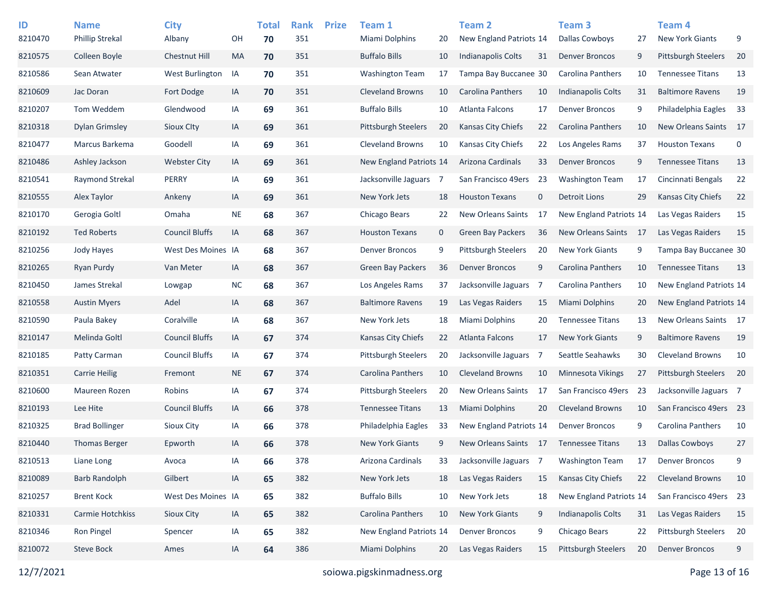| ID<br>8210470 | <b>Name</b><br><b>Phillip Strekal</b> | <b>City</b><br>Albany | OH        | <b>Total</b><br>70 | <b>Rank</b><br>351 | <b>Prize</b> | Team 1<br>Miami Dolphins   | 20           | <b>Team 2</b><br>New England Patriots 14 |     | Team <sub>3</sub><br><b>Dallas Cowboys</b> | 27  | Team <sub>4</sub><br><b>New York Giants</b> | 9    |
|---------------|---------------------------------------|-----------------------|-----------|--------------------|--------------------|--------------|----------------------------|--------------|------------------------------------------|-----|--------------------------------------------|-----|---------------------------------------------|------|
| 8210575       | Colleen Boyle                         | Chestnut Hill         | <b>MA</b> | 70                 | 351                |              | <b>Buffalo Bills</b>       | 10           | <b>Indianapolis Colts</b>                | 31  | <b>Denver Broncos</b>                      | 9   | <b>Pittsburgh Steelers</b>                  | 20   |
| 8210586       | Sean Atwater                          | West Burlington       | IA        | 70                 | 351                |              | <b>Washington Team</b>     | 17           | Tampa Bay Buccanee 30                    |     | Carolina Panthers                          | 10  | <b>Tennessee Titans</b>                     | 13   |
| 8210609       | Jac Doran                             | Fort Dodge            | IA        | 70                 | 351                |              | <b>Cleveland Browns</b>    | 10           | <b>Carolina Panthers</b>                 | 10  | Indianapolis Colts                         | 31  | <b>Baltimore Ravens</b>                     | 19   |
| 8210207       | Tom Weddem                            | Glendwood             | IA        | 69                 | 361                |              | <b>Buffalo Bills</b>       | 10           | Atlanta Falcons                          | 17  | <b>Denver Broncos</b>                      | 9   | Philadelphia Eagles                         | 33   |
| 8210318       | Dylan Grimsley                        | Sioux City            | IA        | 69                 | 361                |              | Pittsburgh Steelers        | 20           | <b>Kansas City Chiefs</b>                | 22  | Carolina Panthers                          | 10  | <b>New Orleans Saints</b>                   | - 17 |
| 8210477       | Marcus Barkema                        | Goodell               | IA        | 69                 | 361                |              | <b>Cleveland Browns</b>    | 10           | Kansas City Chiefs                       | 22  | Los Angeles Rams                           | 37  | <b>Houston Texans</b>                       | 0    |
| 8210486       | Ashley Jackson                        | <b>Webster City</b>   | IA        | 69                 | 361                |              | New England Patriots 14    |              | Arizona Cardinals                        | 33  | <b>Denver Broncos</b>                      | 9   | <b>Tennessee Titans</b>                     | 13   |
| 8210541       | Raymond Strekal                       | PERRY                 | IA        | 69                 | 361                |              | Jacksonville Jaguars 7     |              | San Francisco 49ers                      | -23 | <b>Washington Team</b>                     | 17  | Cincinnati Bengals                          | 22   |
| 8210555       | Alex Taylor                           | Ankeny                | IA        | 69                 | 361                |              | New York Jets              | 18           | <b>Houston Texans</b>                    | 0   | <b>Detroit Lions</b>                       | 29  | <b>Kansas City Chiefs</b>                   | 22   |
| 8210170       | Gerogia Goltl                         | Omaha                 | <b>NE</b> | 68                 | 367                |              | Chicago Bears              | 22           | <b>New Orleans Saints</b>                | 17  | New England Patriots 14                    |     | Las Vegas Raiders                           | 15   |
| 8210192       | <b>Ted Roberts</b>                    | <b>Council Bluffs</b> | IA        | 68                 | 367                |              | <b>Houston Texans</b>      | $\mathbf{0}$ | <b>Green Bay Packers</b>                 | 36  | <b>New Orleans Saints</b>                  | -17 | Las Vegas Raiders                           | 15   |
| 8210256       | Jody Hayes                            | West Des Moines IA    |           | 68                 | 367                |              | <b>Denver Broncos</b>      | 9            | <b>Pittsburgh Steelers</b>               | 20  | <b>New York Giants</b>                     | 9   | Tampa Bay Buccanee 30                       |      |
| 8210265       | <b>Ryan Purdy</b>                     | Van Meter             | IA        | 68                 | 367                |              | Green Bay Packers          | 36           | <b>Denver Broncos</b>                    | 9   | Carolina Panthers                          | 10  | <b>Tennessee Titans</b>                     | 13   |
| 8210450       | James Strekal                         | Lowgap                | <b>NC</b> | 68                 | 367                |              | Los Angeles Rams           | 37           | Jacksonville Jaguars                     | -7  | Carolina Panthers                          | 10  | New England Patriots 14                     |      |
| 8210558       | <b>Austin Myers</b>                   | Adel                  | IA        | 68                 | 367                |              | <b>Baltimore Ravens</b>    | 19           | Las Vegas Raiders                        | 15  | Miami Dolphins                             | 20  | New England Patriots 14                     |      |
| 8210590       | Paula Bakey                           | Coralville            | IA        | 68                 | 367                |              | New York Jets              | 18           | Miami Dolphins                           | 20  | <b>Tennessee Titans</b>                    | 13  | New Orleans Saints 17                       |      |
| 8210147       | Melinda Goltl                         | <b>Council Bluffs</b> | IA        | 67                 | 374                |              | Kansas City Chiefs         | 22           | Atlanta Falcons                          | 17  | <b>New York Giants</b>                     | 9   | <b>Baltimore Ravens</b>                     | 19   |
| 8210185       | Patty Carman                          | <b>Council Bluffs</b> | IA        | 67                 | 374                |              | <b>Pittsburgh Steelers</b> | 20           | Jacksonville Jaguars                     | -7  | Seattle Seahawks                           | 30  | <b>Cleveland Browns</b>                     | 10   |
| 8210351       | <b>Carrie Heilig</b>                  | Fremont               | <b>NE</b> | 67                 | 374                |              | Carolina Panthers          | 10           | <b>Cleveland Browns</b>                  | 10  | <b>Minnesota Vikings</b>                   | 27  | <b>Pittsburgh Steelers</b>                  | 20   |
| 8210600       | Maureen Rozen                         | Robins                | IA        | 67                 | 374                |              | <b>Pittsburgh Steelers</b> | 20           | <b>New Orleans Saints</b>                | 17  | San Francisco 49ers                        | 23  | Jacksonville Jaguars 7                      |      |
| 8210193       | Lee Hite                              | <b>Council Bluffs</b> | IA        | 66                 | 378                |              | <b>Tennessee Titans</b>    | 13           | <b>Miami Dolphins</b>                    | 20  | <b>Cleveland Browns</b>                    | 10  | San Francisco 49ers 23                      |      |
| 8210325       | <b>Brad Bollinger</b>                 | Sioux City            | IA        | 66                 | 378                |              | Philadelphia Eagles        | 33           | New England Patriots 14                  |     | <b>Denver Broncos</b>                      | 9   | Carolina Panthers                           | 10   |
| 8210440       | <b>Thomas Berger</b>                  | Epworth               | IA        | 66                 | 378                |              | <b>New York Giants</b>     | 9            | New Orleans Saints 17                    |     | <b>Tennessee Titans</b>                    | 13  | <b>Dallas Cowboys</b>                       | 27   |
| 8210513       | Liane Long                            | Avoca                 | IA        | 66                 | 378                |              | Arizona Cardinals          | 33           | Jacksonville Jaguars                     | 7   | <b>Washington Team</b>                     | 17  | <b>Denver Broncos</b>                       | 9    |
| 8210089       | <b>Barb Randolph</b>                  | Gilbert               | IA        | 65                 | 382                |              | New York Jets              | 18           | Las Vegas Raiders                        | 15  | Kansas City Chiefs                         | 22  | <b>Cleveland Browns</b>                     | 10   |
| 8210257       | <b>Brent Kock</b>                     | West Des Moines IA    |           | 65                 | 382                |              | <b>Buffalo Bills</b>       | 10           | New York Jets                            | 18  | New England Patriots 14                    |     | San Francisco 49ers 23                      |      |
| 8210331       | Carmie Hotchkiss                      | Sioux City            | IA        | 65                 | 382                |              | Carolina Panthers          | 10           | New York Giants                          | 9   | Indianapolis Colts                         | 31  | Las Vegas Raiders                           | 15   |
| 8210346       | Ron Pingel                            | Spencer               | IA        | 65                 | 382                |              | New England Patriots 14    |              | <b>Denver Broncos</b>                    | 9   | Chicago Bears                              | 22  | Pittsburgh Steelers                         | 20   |
| 8210072       | Steve Bock                            | Ames                  | IA        | 64                 | 386                |              | <b>Miami Dolphins</b>      | 20           | Las Vegas Raiders                        | 15  | Pittsburgh Steelers                        | 20  | <b>Denver Broncos</b>                       | 9    |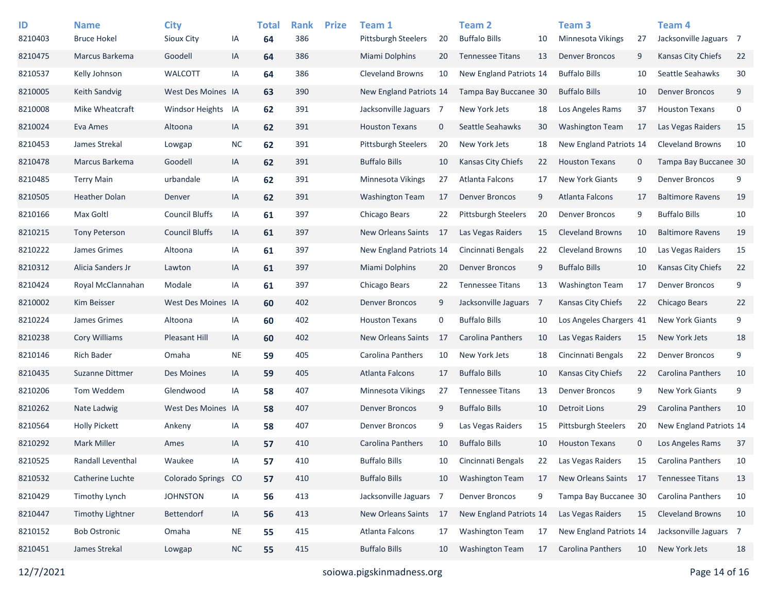| ID<br>8210403 | <b>Name</b><br><b>Bruce Hokel</b> | <b>City</b><br>Sioux City | IA        | <b>Total</b><br>64 | <b>Rank</b><br>386 | <b>Prize</b> | Team 1<br><b>Pittsburgh Steelers</b> | 20          | <b>Team 2</b><br><b>Buffalo Bills</b> | 10             | Team <sub>3</sub><br>Minnesota Vikings | 27           | Team 4<br>Jacksonville Jaguars 7 |    |
|---------------|-----------------------------------|---------------------------|-----------|--------------------|--------------------|--------------|--------------------------------------|-------------|---------------------------------------|----------------|----------------------------------------|--------------|----------------------------------|----|
| 8210475       | Marcus Barkema                    | Goodell                   | IA        | 64                 | 386                |              | <b>Miami Dolphins</b>                | 20          | <b>Tennessee Titans</b>               | 13             | <b>Denver Broncos</b>                  | 9            | Kansas City Chiefs               | 22 |
| 8210537       | Kelly Johnson                     | WALCOTT                   | ΙA        | 64                 | 386                |              | <b>Cleveland Browns</b>              | 10          | New England Patriots 14               |                | <b>Buffalo Bills</b>                   | 10           | Seattle Seahawks                 | 30 |
| 8210005       | <b>Keith Sandvig</b>              | West Des Moines IA        |           | 63                 | 390                |              | New England Patriots 14              |             | Tampa Bay Buccanee 30                 |                | <b>Buffalo Bills</b>                   | 10           | <b>Denver Broncos</b>            | 9  |
| 8210008       | Mike Wheatcraft                   | <b>Windsor Heights</b>    | IA        | 62                 | 391                |              | Jacksonville Jaguars 7               |             | New York Jets                         | 18             | Los Angeles Rams                       | 37           | <b>Houston Texans</b>            | 0  |
| 8210024       | Eva Ames                          | Altoona                   | IA        | 62                 | 391                |              | <b>Houston Texans</b>                | $\mathbf 0$ | Seattle Seahawks                      | 30             | <b>Washington Team</b>                 | 17           | Las Vegas Raiders                | 15 |
| 8210453       | James Strekal                     | Lowgap                    | <b>NC</b> | 62                 | 391                |              | <b>Pittsburgh Steelers</b>           | 20          | New York Jets                         | 18             | New England Patriots 14                |              | <b>Cleveland Browns</b>          | 10 |
| 8210478       | Marcus Barkema                    | Goodell                   | IA        | 62                 | 391                |              | <b>Buffalo Bills</b>                 | 10          | Kansas City Chiefs                    | 22             | <b>Houston Texans</b>                  | $\mathbf 0$  | Tampa Bay Buccanee 30            |    |
| 8210485       | <b>Terry Main</b>                 | urbandale                 | IA        | 62                 | 391                |              | Minnesota Vikings                    | 27          | Atlanta Falcons                       | 17             | New York Giants                        | 9            | <b>Denver Broncos</b>            | 9  |
| 8210505       | <b>Heather Dolan</b>              | Denver                    | IA        | 62                 | 391                |              | <b>Washington Team</b>               | 17          | <b>Denver Broncos</b>                 | 9              | <b>Atlanta Falcons</b>                 | 17           | <b>Baltimore Ravens</b>          | 19 |
| 8210166       | Max Goltl                         | <b>Council Bluffs</b>     | IA        | 61                 | 397                |              | Chicago Bears                        | 22          | <b>Pittsburgh Steelers</b>            | 20             | <b>Denver Broncos</b>                  | 9            | <b>Buffalo Bills</b>             | 10 |
| 8210215       | <b>Tony Peterson</b>              | <b>Council Bluffs</b>     | IA        | 61                 | 397                |              | <b>New Orleans Saints</b>            | 17          | Las Vegas Raiders                     | 15             | <b>Cleveland Browns</b>                | 10           | <b>Baltimore Ravens</b>          | 19 |
| 8210222       | James Grimes                      | Altoona                   | ΙA        | 61                 | 397                |              | New England Patriots 14              |             | Cincinnati Bengals                    | 22             | <b>Cleveland Browns</b>                | 10           | Las Vegas Raiders                | 15 |
| 8210312       | Alicia Sanders Jr                 | Lawton                    | IA        | 61                 | 397                |              | Miami Dolphins                       | 20          | <b>Denver Broncos</b>                 | 9              | <b>Buffalo Bills</b>                   | 10           | Kansas City Chiefs               | 22 |
| 8210424       | Royal McClannahan                 | Modale                    | ΙA        | 61                 | 397                |              | Chicago Bears                        | 22          | <b>Tennessee Titans</b>               | 13             | <b>Washington Team</b>                 | 17           | <b>Denver Broncos</b>            | 9  |
| 8210002       | Kim Beisser                       | West Des Moines IA        |           | 60                 | 402                |              | <b>Denver Broncos</b>                | 9           | Jacksonville Jaguars                  | $\overline{7}$ | Kansas City Chiefs                     | 22           | <b>Chicago Bears</b>             | 22 |
| 8210224       | James Grimes                      | Altoona                   | ΙA        | 60                 | 402                |              | <b>Houston Texans</b>                | 0           | <b>Buffalo Bills</b>                  | 10             | Los Angeles Chargers 41                |              | New York Giants                  | 9  |
| 8210238       | <b>Cory Williams</b>              | Pleasant Hill             | IA        | 60                 | 402                |              | New Orleans Saints                   | 17          | Carolina Panthers                     | 10             | Las Vegas Raiders                      | 15           | New York Jets                    | 18 |
| 8210146       | <b>Rich Bader</b>                 | Omaha                     | <b>NE</b> | 59                 | 405                |              | Carolina Panthers                    | 10          | New York Jets                         | 18             | Cincinnati Bengals                     | 22           | Denver Broncos                   | 9  |
| 8210435       | Suzanne Dittmer                   | Des Moines                | IA        | 59                 | 405                |              | Atlanta Falcons                      | 17          | <b>Buffalo Bills</b>                  | 10             | <b>Kansas City Chiefs</b>              | 22           | Carolina Panthers                | 10 |
| 8210206       | Tom Weddem                        | Glendwood                 | IA        | 58                 | 407                |              | Minnesota Vikings                    | 27          | <b>Tennessee Titans</b>               | 13             | <b>Denver Broncos</b>                  | 9            | <b>New York Giants</b>           | 9  |
| 8210262       | Nate Ladwig                       | West Des Moines IA        |           | 58                 | 407                |              | <b>Denver Broncos</b>                | 9           | <b>Buffalo Bills</b>                  | 10             | <b>Detroit Lions</b>                   | 29           | Carolina Panthers                | 10 |
| 8210564       | <b>Holly Pickett</b>              | Ankeny                    | IA        | 58                 | 407                |              | Denver Broncos                       | 9           | Las Vegas Raiders                     | 15             | <b>Pittsburgh Steelers</b>             | 20           | New England Patriots 14          |    |
| 8210292       | <b>Mark Miller</b>                | Ames                      | IA        | 57                 | 410                |              | <b>Carolina Panthers</b>             | 10          | <b>Buffalo Bills</b>                  | 10             | <b>Houston Texans</b>                  | $\mathbf{0}$ | Los Angeles Rams                 | 37 |
| 8210525       | Randall Leventhal                 | Waukee                    | IA        | 57                 | 410                |              | <b>Buffalo Bills</b>                 | 10          | Cincinnati Bengals                    | 22             | Las Vegas Raiders                      | 15           | Carolina Panthers                | 10 |
| 8210532       | Catherine Luchte                  | <b>Colorado Springs</b>   | <b>CO</b> | 57                 | 410                |              | <b>Buffalo Bills</b>                 | 10          | <b>Washington Team</b>                | 17             | New Orleans Saints 17                  |              | <b>Tennessee Titans</b>          | 13 |
| 8210429       | Timothy Lynch                     | <b>JOHNSTON</b>           | IA        | 56                 | 413                |              | Jacksonville Jaguars 7               |             | <b>Denver Broncos</b>                 | 9              | Tampa Bay Buccanee 30                  |              | Carolina Panthers                | 10 |
| 8210447       | <b>Timothy Lightner</b>           | Bettendorf                | IA        | 56                 | 413                |              | New Orleans Saints                   | 17          | New England Patriots 14               |                | Las Vegas Raiders                      | 15           | <b>Cleveland Browns</b>          | 10 |
| 8210152       | <b>Bob Ostronic</b>               | Omaha                     | <b>NE</b> | 55                 | 415                |              | Atlanta Falcons                      | 17          | <b>Washington Team</b>                | 17             | New England Patriots 14                |              | Jacksonville Jaguars 7           |    |
| 8210451       | James Strekal                     | Lowgap                    | <b>NC</b> | 55                 | 415                |              | <b>Buffalo Bills</b>                 | 10          | <b>Washington Team</b>                | 17             | Carolina Panthers                      | 10           | New York Jets                    | 18 |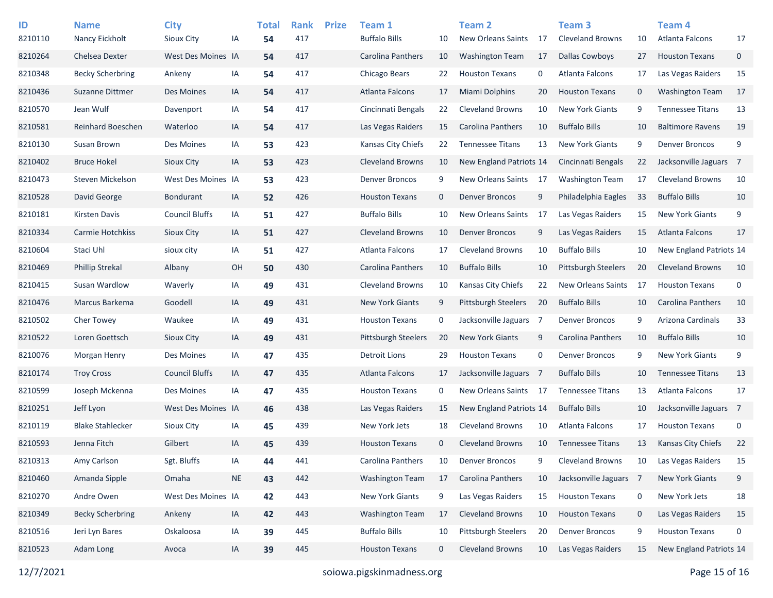| ID<br>8210110 | <b>Name</b><br>Nancy Eickholt | <b>City</b><br>Sioux City | ΙA        | <b>Total</b><br>54 | <b>Rank</b><br>417 | <b>Prize</b> | Team 1<br><b>Buffalo Bills</b> | 10           | <b>Team 2</b><br><b>New Orleans Saints</b> | 17  | Team <sub>3</sub><br><b>Cleveland Browns</b> | 10          | Team <sub>4</sub><br>Atlanta Falcons | 17 |
|---------------|-------------------------------|---------------------------|-----------|--------------------|--------------------|--------------|--------------------------------|--------------|--------------------------------------------|-----|----------------------------------------------|-------------|--------------------------------------|----|
| 8210264       | Chelsea Dexter                | West Des Moines IA        |           | 54                 | 417                |              | Carolina Panthers              | 10           | <b>Washington Team</b>                     | 17  | <b>Dallas Cowboys</b>                        | 27          | <b>Houston Texans</b>                | 0  |
| 8210348       | <b>Becky Scherbring</b>       | Ankeny                    | IA        | 54                 | 417                |              | Chicago Bears                  | 22           | <b>Houston Texans</b>                      | 0   | Atlanta Falcons                              | 17          | Las Vegas Raiders                    | 15 |
| 8210436       | Suzanne Dittmer               | Des Moines                | IA        | 54                 | 417                |              | <b>Atlanta Falcons</b>         | 17           | <b>Miami Dolphins</b>                      | 20  | <b>Houston Texans</b>                        | $\mathbf 0$ | <b>Washington Team</b>               | 17 |
| 8210570       | Jean Wulf                     | Davenport                 | IA        | 54                 | 417                |              | Cincinnati Bengals             | 22           | <b>Cleveland Browns</b>                    | 10  | <b>New York Giants</b>                       | 9           | <b>Tennessee Titans</b>              | 13 |
| 8210581       | Reinhard Boeschen             | Waterloo                  | IA        | 54                 | 417                |              | Las Vegas Raiders              | 15           | <b>Carolina Panthers</b>                   | 10  | <b>Buffalo Bills</b>                         | 10          | <b>Baltimore Ravens</b>              | 19 |
| 8210130       | Susan Brown                   | Des Moines                | IA        | 53                 | 423                |              | Kansas City Chiefs             | 22           | <b>Tennessee Titans</b>                    | 13  | <b>New York Giants</b>                       | 9           | <b>Denver Broncos</b>                | 9  |
| 8210402       | <b>Bruce Hokel</b>            | Sioux City                | IA        | 53                 | 423                |              | <b>Cleveland Browns</b>        | 10           | New England Patriots 14                    |     | Cincinnati Bengals                           | 22          | Jacksonville Jaguars 7               |    |
| 8210473       | Steven Mickelson              | West Des Moines IA        |           | 53                 | 423                |              | <b>Denver Broncos</b>          | 9            | New Orleans Saints                         | -17 | <b>Washington Team</b>                       | 17          | <b>Cleveland Browns</b>              | 10 |
| 8210528       | David George                  | <b>Bondurant</b>          | IA        | 52                 | 426                |              | <b>Houston Texans</b>          | $\mathbf 0$  | <b>Denver Broncos</b>                      | 9   | Philadelphia Eagles                          | 33          | <b>Buffalo Bills</b>                 | 10 |
| 8210181       | Kirsten Davis                 | <b>Council Bluffs</b>     | IA        | 51                 | 427                |              | <b>Buffalo Bills</b>           | 10           | <b>New Orleans Saints</b>                  | 17  | Las Vegas Raiders                            | 15          | <b>New York Giants</b>               | 9  |
| 8210334       | Carmie Hotchkiss              | <b>Sioux City</b>         | IA        | 51                 | 427                |              | <b>Cleveland Browns</b>        | 10           | <b>Denver Broncos</b>                      | 9   | Las Vegas Raiders                            | 15          | <b>Atlanta Falcons</b>               | 17 |
| 8210604       | Staci Uhl                     | sioux city                | IA        | 51                 | 427                |              | Atlanta Falcons                | 17           | <b>Cleveland Browns</b>                    | 10  | <b>Buffalo Bills</b>                         | 10          | New England Patriots 14              |    |
| 8210469       | <b>Phillip Strekal</b>        | Albany                    | OH        | 50                 | 430                |              | Carolina Panthers              | 10           | <b>Buffalo Bills</b>                       | 10  | <b>Pittsburgh Steelers</b>                   | 20          | <b>Cleveland Browns</b>              | 10 |
| 8210415       | Susan Wardlow                 | Waverly                   | IA        | 49                 | 431                |              | <b>Cleveland Browns</b>        | 10           | Kansas City Chiefs                         | 22  | New Orleans Saints                           | 17          | <b>Houston Texans</b>                | 0  |
| 8210476       | Marcus Barkema                | Goodell                   | IA        | 49                 | 431                |              | <b>New York Giants</b>         | 9            | <b>Pittsburgh Steelers</b>                 | 20  | <b>Buffalo Bills</b>                         | 10          | <b>Carolina Panthers</b>             | 10 |
| 8210502       | Cher Towey                    | Waukee                    | IA        | 49                 | 431                |              | <b>Houston Texans</b>          | 0            | Jacksonville Jaguars 7                     |     | <b>Denver Broncos</b>                        | 9           | Arizona Cardinals                    | 33 |
| 8210522       | Loren Goettsch                | Sioux City                | IA        | 49                 | 431                |              | Pittsburgh Steelers            | 20           | <b>New York Giants</b>                     | 9   | Carolina Panthers                            | 10          | <b>Buffalo Bills</b>                 | 10 |
| 8210076       | Morgan Henry                  | Des Moines                | IA        | 47                 | 435                |              | <b>Detroit Lions</b>           | 29           | <b>Houston Texans</b>                      | 0   | <b>Denver Broncos</b>                        | 9           | <b>New York Giants</b>               | 9  |
| 8210174       | <b>Troy Cross</b>             | <b>Council Bluffs</b>     | IA        | 47                 | 435                |              | <b>Atlanta Falcons</b>         | 17           | Jacksonville Jaguars 7                     |     | <b>Buffalo Bills</b>                         | 10          | <b>Tennessee Titans</b>              | 13 |
| 8210599       | Joseph Mckenna                | Des Moines                | IA        | 47                 | 435                |              | <b>Houston Texans</b>          | 0            | New Orleans Saints                         | -17 | <b>Tennessee Titans</b>                      | 13          | Atlanta Falcons                      | 17 |
| 8210251       | Jeff Lyon                     | West Des Moines IA        |           | 46                 | 438                |              | Las Vegas Raiders              | 15           | New England Patriots 14                    |     | <b>Buffalo Bills</b>                         | 10          | Jacksonville Jaguars 7               |    |
| 8210119       | <b>Blake Stahlecker</b>       | Sioux City                | IA        | 45                 | 439                |              | New York Jets                  | 18           | <b>Cleveland Browns</b>                    | 10  | Atlanta Falcons                              | 17          | <b>Houston Texans</b>                | 0  |
| 8210593       | Jenna Fitch                   | Gilbert                   | IA        | 45                 | 439                |              | <b>Houston Texans</b>          | $\mathbf{0}$ | <b>Cleveland Browns</b>                    | 10  | <b>Tennessee Titans</b>                      | 13          | <b>Kansas City Chiefs</b>            | 22 |
| 8210313       | Amy Carlson                   | Sgt. Bluffs               | IA        | 44                 | 441                |              | Carolina Panthers              | 10           | <b>Denver Broncos</b>                      | 9   | <b>Cleveland Browns</b>                      | 10          | Las Vegas Raiders                    | 15 |
| 8210460       | Amanda Sipple                 | Omaha                     | <b>NE</b> | 43                 | 442                |              | <b>Washington Team</b>         | 17           | Carolina Panthers                          | 10  | Jacksonville Jaguars 7                       |             | New York Giants                      | 9  |
| 8210270       | Andre Owen                    | West Des Moines IA        |           | 42                 | 443                |              | New York Giants                | 9            | Las Vegas Raiders                          | 15  | <b>Houston Texans</b>                        | 0           | New York Jets                        | 18 |
| 8210349       | <b>Becky Scherbring</b>       | Ankeny                    | $\sf IA$  | 42                 | 443                |              | <b>Washington Team</b>         | 17           | <b>Cleveland Browns</b>                    | 10  | <b>Houston Texans</b>                        | $\mathbf 0$ | Las Vegas Raiders                    | 15 |
| 8210516       | Jeri Lyn Bares                | Oskaloosa                 | IA        | 39                 | 445                |              | <b>Buffalo Bills</b>           | 10           | <b>Pittsburgh Steelers</b>                 | 20  | <b>Denver Broncos</b>                        | 9           | <b>Houston Texans</b>                | 0  |
| 8210523       | Adam Long                     | Avoca                     | IA        | 39                 | 445                |              | <b>Houston Texans</b>          | $\mathbf 0$  | <b>Cleveland Browns</b>                    | 10  | Las Vegas Raiders                            | 15          | New England Patriots 14              |    |